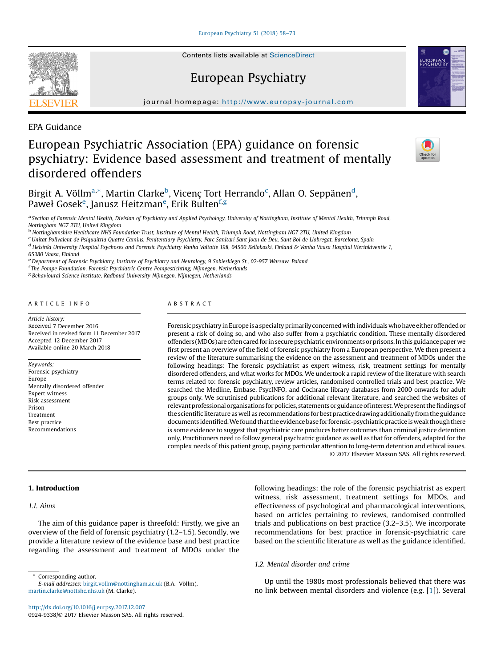# European Psychiatry

journal homepage: <http://www.europsy-journal.com>

EPA Guidance

# European Psychiatric Association (EPA) guidance on forensic psychiatry: Evidence based assessment and treatment of mentally disordered offenders



Birgit A. Völlm<sup>a,\*</sup>, Martin Clarke<sup>b</sup>, Vicenç Tort Herrando<sup>c</sup>, Allan O. Seppänen<sup>d</sup>, Paweł Gosek<sup>e</sup>, Janusz Heitzman<sup>e</sup>, Erik Bulten<sup>f,g</sup>

a Section of Forensic Mental Health, Division of Psychiatry and Applied Psychology, University of Nottingham, Institute of Mental Health, Triumph Road, Nottingham NG7 2TU, United Kingdom<br><sup>b</sup> Nottinghamshire Healthcare NHS Foundation Trust, Institute of Mental Health, Triumph Road, Nottingham NG7 2TU, United Kingdom<br><sup>c</sup> Unitat Polivalent de Psiquaitria Quatre Camins, Penit

<sup>d</sup> Helsinki University Hospital Psychoses and Forensic Psychiatry Vanha Valtatie 198, 04500 Kellokoski, Finland & Vanha Vaasa Hospital Vierinkiventie 1,

65380 Vaasa, Finland<br><sup>e</sup> Department of Forensic Psychiatry, Institute of Psychiatry and Neurology, 9 Sobieskiego St., 02-957 Warsaw, Poland<br><sup>f</sup> The Pompe Foundation, Forensic Psychiatric Centre Pompestichting, Nijmegen, Ne

<sup>g</sup> Behavioural Science Institute, Radboud University Nijmegen, Nijmegen, Netherlands

### A R T I C L E I N F O

Article history: Received 7 December 2016 Received in revised form 11 December 2017 Accepted 12 December 2017 Available online 20 March 2018

Keywords: Forensic psychiatry Europe Mentally disordered offender Expert witness Risk assessment Prison Treatment Best practice Recommendations

# A B S T R A C T

Forensic psychiatry in Europe is a specialty primarily concerned with individuals who have either offended or present a risk of doing so, and who also suffer from a psychiatric condition. These mentally disordered offenders (MDOs) are often cared for in secure psychiatric environments or prisons. In this guidance paper we first present an overview of the field of forensic psychiatry from a European perspective. We then present a review of the literature summarising the evidence on the assessment and treatment of MDOs under the following headings: The forensic psychiatrist as expert witness, risk, treatment settings for mentally disordered offenders, and what works for MDOs. We undertook a rapid review of the literature with search terms related to: forensic psychiatry, review articles, randomised controlled trials and best practice. We searched the Medline, Embase, PsycINFO, and Cochrane library databases from 2000 onwards for adult groups only. We scrutinised publications for additional relevant literature, and searched the websites of relevant professional organisations for policies, statements or guidance of interest. We present the findings of the scientific literature as well as recommendations for best practice drawing additionally fromthe guidance documents identified. We found that the evidence base for forensic-psychiatric practice is weak though there is some evidence to suggest that psychiatric care produces better outcomes than criminal justice detention only. Practitioners need to follow general psychiatric guidance as well as that for offenders, adapted for the complex needs of this patient group, paying particular attention to long-term detention and ethical issues. © 2017 Elsevier Masson SAS. All rights reserved.

## 1. Introduction

# 1.1. Aims

The aim of this guidance paper is threefold: Firstly, we give an overview of the field of forensic psychiatry (1.2–1.5). Secondly, we provide a literature review of the evidence base and best practice regarding the assessment and treatment of MDOs under the

\* Corresponding author.

E-mail addresses: [birgit.vollm@nottingham.ac.uk](mailto:birgit.vollm@nottingham.ac.uk) (B.A. Völlm), [martin.clarke@nottshc.nhs.uk](mailto:martin.clarke@nottshc.nhs.uk) (M. Clarke).

<http://dx.doi.org/10.1016/j.eurpsy.2017.12.007> 0924-9338/© 2017 Elsevier Masson SAS. All rights reserved. following headings: the role of the forensic psychiatrist as expert witness, risk assessment, treatment settings for MDOs, and effectiveness of psychological and pharmacological interventions, based on articles pertaining to reviews, randomised controlled trials and publications on best practice (3.2–3.5). We incorporate recommendations for best practice in forensic-psychiatric care based on the scientific literature as well as the guidance identified.

## 1.2. Mental disorder and crime

Up until the 1980s most professionals believed that there was no link between mental disorders and violence (e.g. [\[1](#page-12-0)]). Several

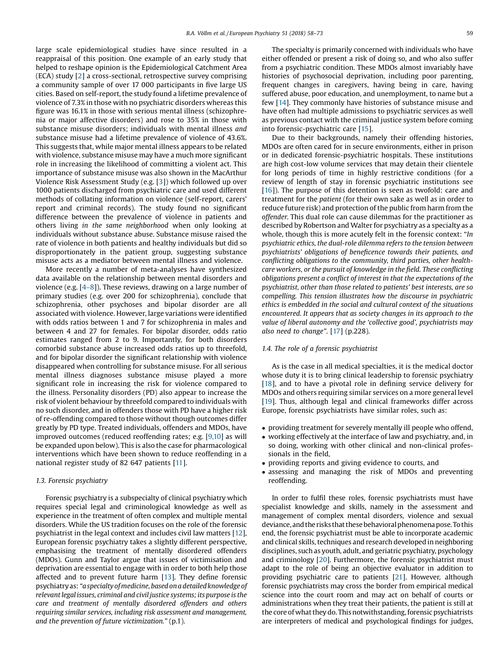large scale epidemiological studies have since resulted in a reappraisal of this position. One example of an early study that helped to reshape opinion is the Epidemiological Catchment Area (ECA) study [[2\]](#page-12-0) a cross-sectional, retrospective survey comprising a community sample of over 17 000 participants in five large US cities. Based on self-report, the study found a lifetime prevalence of violence of 7.3% in those with no psychiatric disorders whereas this figure was 16.1% in those with serious mental illness (schizophrenia or major affective disorders) and rose to 35% in those with substance misuse disorders; individuals with mental illness and substance misuse had a lifetime prevalence of violence of 43.6%. This suggests that, while major mental illness appears to be related with violence, substance misuse may have a much more significant role in increasing the likelihood of committing a violent act. This importance of substance misuse was also shown in the MacArthur Violence Risk Assessment Study (e.g. [[3](#page-12-0)]) which followed up over 1000 patients discharged from psychiatric care and used different methods of collating information on violence (self-report, carers' report and criminal records). The study found no significant difference between the prevalence of violence in patients and others living in the same neighborhood when only looking at individuals without substance abuse. Substance misuse raised the rate of violence in both patients and healthy individuals but did so disproportionately in the patient group, suggesting substance misuse acts as a mediator between mental illness and violence.

More recently a number of meta-analyses have synthesized data available on the relationship between mental disorders and violence (e.g. [4[–](#page-12-0)8]). These reviews, drawing on a large number of primary studies (e.g. over 200 for schizophrenia), conclude that schizophrenia, other psychoses and bipolar disorder are all associated with violence. However, large variations were identified with odds ratios between 1 and 7 for schizophrenia in males and between 4 and 27 for females. For bipolar disorder, odds ratio estimates ranged from 2 to 9. Importantly, for both disorders comorbid substance abuse increased odds ratios up to threefold, and for bipolar disorder the significant relationship with violence disappeared when controlling for substance misuse. For all serious mental illness diagnoses substance misuse played a more significant role in increasing the risk for violence compared to the illness. Personality disorders (PD) also appear to increase the risk of violent behaviour by threefold compared to individuals with no such disorder, and in offenders those with PD have a higher risk of re-offending compared to those without though outcomes differ greatly by PD type. Treated individuals, offenders and MDOs, have improved outcomes (reduced reoffending rates; e.g. [[9,10\]](#page-12-0) as will be expanded upon below). This is also the case for pharmacological interventions which have been shown to reduce reoffending in a national register study of 82 647 patients [[11](#page-12-0)].

## 1.3. Forensic psychiatry

Forensic psychiatry is a subspecialty of clinical psychiatry which requires special legal and criminological knowledge as well as experience in the treatment of often complex and multiple mental disorders. While the US tradition focuses on the role of the forensic psychiatrist in the legal context and includes civil law matters [\[12](#page-12-0)], European forensic psychiatry takes a slightly different perspective, emphasising the treatment of mentally disordered offenders (MDOs). Gunn and Taylor argue that issues of victimisation and deprivation are essential to engage with in order to both help those affected and to prevent future harm [\[13](#page-12-0)]. They define forensic psychiatry as: "aspecialtyofmedicine,basedonadetailed knowledgeof relevant legal issues, criminal and civil justice systems; its purpose is the care and treatment of mentally disordered offenders and others requiring similar services, including risk assessment and management, and the prevention of future victimization." (p.1).

The specialty is primarily concerned with individuals who have either offended or present a risk of doing so, and who also suffer from a psychiatric condition. These MDOs almost invariably have histories of psychosocial deprivation, including poor parenting, frequent changes in caregivers, having being in care, having suffered abuse, poor education, and unemployment, to name but a few [\[14](#page-12-0)]. They commonly have histories of substance misuse and have often had multiple admissions to psychiatric services as well as previous contact with the criminal justice system before coming into forensic-psychiatric care [\[15](#page-12-0)].

Due to their backgrounds, namely their offending histories, MDOs are often cared for in secure environments, either in prison or in dedicated forensic-psychiatric hospitals. These institutions are high cost-low volume services that may detain their clientele for long periods of time in highly restrictive conditions (for a review of length of stay in forensic psychiatric institutions see [\[16\]](#page-12-0)). The purpose of this detention is seen as twofold: care and treatment for the patient (for their own sake as well as in order to reduce future risk) and protection of the public from harm from the offender. This dual role can cause dilemmas for the practitioner as described by Robertson and Walter for psychiatry as a specialty as a whole, though this is more acutely felt in the forensic context: "In psychiatric ethics, the dual-role dilemma refers to the tension between psychiatrists' obligations of beneficence towards their patients, and conflicting obligations to the community, third parties, other healthcare workers, or the pursuit of knowledge in the field. These conflicting obligations present a conflict of interest in that the expectations of the psychiatrist, other than those related to patients' best interests, are so compelling. This tension illustrates how the discourse in psychiatric ethics is embedded in the social and cultural context of the situations encountered. It appears that as society changes in its approach to the value of liberal autonomy and the 'collective good', psychiatrists may also need to change". [[17\]](#page-12-0) (p.228).

## 1.4. The role of a forensic psychiatrist

As is the case in all medical specialties, it is the medical doctor whose duty it is to bring clinical leadership to forensic psychiatry [\[18](#page-12-0)], and to have a pivotal role in defining service delivery for MDOs and others requiring similar services on a more general level [\[19\]](#page-12-0). Thus, although legal and clinical frameworks differ across Europe, forensic psychiatrists have similar roles, such as:

- providing treatment for severely mentally ill people who offend,
- working effectively at the interface of law and psychiatry, and, in so doing, working with other clinical and non-clinical professionals in the field,
- providing reports and giving evidence to courts, and
- assessing and managing the risk of MDOs and preventing reoffending.

In order to fulfil these roles, forensic psychiatrists must have specialist knowledge and skills, namely in the assessment and management of complex mental disorders, violence and sexual deviance, and the risks that these behavioral phenomena pose. To this end, the forensic psychiatrist must be able to incorporate academic and clinical skills, techniques and research developed in neighboring disciplines, such as youth, adult, and geriatric psychiatry, psychology and criminology [\[20](#page-12-0)]. Furthermore, the forensic psychiatrist must adapt to the role of being an objective evaluator in addition to providing psychiatric care to patients [[21](#page-12-0)]. However, although forensic psychiatrists may cross the border from empirical medical science into the court room and may act on behalf of courts or administrations when they treat their patients, the patient is still at the core of what they do. This notwithstanding, forensic psychiatrists are interpreters of medical and psychological findings for judges,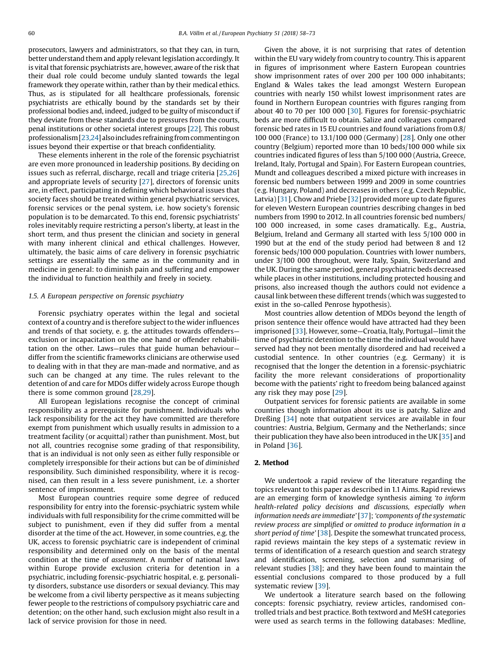prosecutors, lawyers and administrators, so that they can, in turn, better understand them and apply relevant legislation accordingly. It is vital that forensic psychiatrists are, however, aware of the risk that their dual role could become unduly slanted towards the legal framework they operate within, rather than by their medical ethics. Thus, as is stipulated for all healthcare professionals, forensic psychiatrists are ethically bound by the standards set by their professional bodies and, indeed, judged to be guilty of misconduct if they deviate from these standards due to pressures from the courts, penal institutions or other societal interest groups [\[22\]](#page-12-0). This robust professionalism [[23,24](#page-12-0)] also includes refraining fromcommentingon issues beyond their expertise or that breach confidentiality.

These elements inherent in the role of the forensic psychiatrist are even more pronounced in leadership positions. By deciding on issues such as referral, discharge, recall and triage criteria [[25,26\]](#page-12-0) and appropriate levels of security [[27](#page-12-0)], directors of forensic units are, in effect, participating in defining which behavioral issues that society faces should be treated within general psychiatric services, forensic services or the penal system, i.e. how society's forensic population is to be demarcated. To this end, forensic psychiatrists' roles inevitably require restricting a person's liberty, at least in the short term, and thus present the clinician and society in general with many inherent clinical and ethical challenges. However, ultimately, the basic aims of care delivery in forensic psychiatric settings are essentially the same as in the community and in medicine in general: to diminish pain and suffering and empower the individual to function healthily and freely in society.

# 1.5. A European perspective on forensic psychiatry

Forensic psychiatry operates within the legal and societal context of a country and is therefore subject to the wider influences and trends of that society, e. g. the attitudes towards offenders exclusion or incapacitation on the one hand or offender rehabilitation on the other. Laws—rules that guide human behaviour differ from the scientific frameworks clinicians are otherwise used to dealing with in that they are man-made and normative, and as such can be changed at any time. The rules relevant to the detention of and care for MDOs differ widely across Europe though there is some common ground [\[28,29\]](#page-12-0).

All European legislations recognise the concept of criminal responsibility as a prerequisite for punishment. Individuals who lack responsibility for the act they have committed are therefore exempt from punishment which usually results in admission to a treatment facility (or acquittal) rather than punishment. Most, but not all, countries recognise some grading of that responsibility, that is an individual is not only seen as either fully responsible or completely irresponsible for their actions but can be of diminished responsibility. Such diminished responsibility, where it is recognised, can then result in a less severe punishment, i.e. a shorter sentence of imprisonment.

Most European countries require some degree of reduced responsibility for entry into the forensic-psychiatric system while individuals with full responsibility for the crime committed will be subject to punishment, even if they did suffer from a mental disorder at the time of the act. However, in some countries, e.g. the UK, access to forensic psychiatric care is independent of criminal responsibility and determined only on the basis of the mental condition at the time of assessment. A number of national laws within Europe provide exclusion criteria for detention in a psychiatric, including forensic-psychiatric hospital, e. g. personality disorders, substance use disorders or sexual deviancy. This may be welcome from a civil liberty perspective as it means subjecting fewer people to the restrictions of compulsory psychiatric care and detention; on the other hand, such exclusion might also result in a lack of service provision for those in need.

Given the above, it is not surprising that rates of detention within the EU vary widely from country to country. This is apparent in figures of imprisonment where Eastern European countries show imprisonment rates of over 200 per 100 000 inhabitants; England & Wales takes the lead amongst Western European countries with nearly 150 whilst lowest imprisonment rates are found in Northern European countries with figures ranging from about 40 to 70 per 100 000 [\[30](#page-12-0)]. Figures for forensic-psychiatric beds are more difficult to obtain. Salize and colleagues compared forensic bed rates in 15 EU countries and found variations from 0.8/ 100 000 (France) to 13.1/100 000 (Germany) [\[28](#page-12-0)]. Only one other country (Belgium) reported more than 10 beds/100 000 while six countries indicated figures of less than 5/100 000 (Austria, Greece, Ireland, Italy, Portugal and Spain). For Eastern European countries, Mundt and colleagues described a mixed picture with increases in forensic bed numbers between 1999 and 2009 in some countries (e.g. Hungary, Poland) and decreases in others (e.g. Czech Republic, Latvia) [\[31](#page-12-0)]. Chow and Priebe [[32\]](#page-12-0) provided more up to date figures for eleven Western European countries describing changes in bed numbers from 1990 to 2012. In all countries forensic bed numbers/ 100 000 increased, in some cases dramatically. E.g., Austria, Belgium, Ireland and Germany all started with less 5/100 000 in 1990 but at the end of the study period had between 8 and 12 forensic beds/100 000 population. Countries with lower numbers, under 3/100 000 throughout, were Italy, Spain, Switzerland and the UK. During the same period, general psychiatric beds decreased while places in other institutions, including protected housing and prisons, also increased though the authors could not evidence a causal link between these different trends (which was suggested to exist in the so-called Penrose hypothesis).

Most countries allow detention of MDOs beyond the length of prison sentence their offence would have attracted had they been imprisoned [[33](#page-12-0)]. However, some—Croatia, Italy, Portugal—limit the time of psychiatric detention to the time the individual would have served had they not been mentally disordered and had received a custodial sentence. In other countries (e.g. Germany) it is recognised that the longer the detention in a forensic-psychiatric facility the more relevant considerations of proportionality become with the patients' right to freedom being balanced against any risk they may pose [\[29](#page-12-0)].

Outpatient services for forensic patients are available in some countries though information about its use is patchy. Salize and Dreßing [\[34](#page-12-0)] note that outpatient services are available in four countries: Austria, Belgium, Germany and the Netherlands; since their publication they have also been introduced in the UK [\[35\]](#page-12-0) and in Poland [[36](#page-12-0)].

# 2. Method

We undertook a rapid review of the literature regarding the topics relevant to this paper as described in 1.1 Aims. Rapid reviews are an emerging form of knowledge synthesis aiming 'to inform health-related policy decisions and discussions, especially when information needs are immediate' [[37](#page-12-0)]; 'components of the systematic review process are simplified or omitted to produce information in a short period of time' [[38](#page-12-0)]. Despite the somewhat truncated process, rapid reviews maintain the key steps of a systematic review in terms of identification of a research question and search strategy and identification, screening, selection and summarising of relevant studies [\[38\]](#page-12-0); and they have been found to maintain the essential conclusions compared to those produced by a full systematic review [\[39\]](#page-12-0).

We undertook a literature search based on the following concepts: forensic psychiatry, review articles, randomised controlled trials and best practice. Both textword and MeSH categories were used as search terms in the following databases: Medline,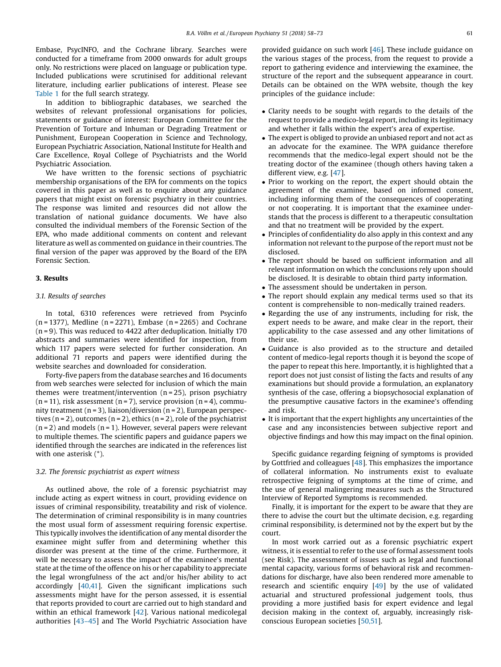Embase, PsycINFO, and the Cochrane library. Searches were conducted for a timeframe from 2000 onwards for adult groups only. No restrictions were placed on language or publication type. Included publications were scrutinised for additional relevant literature, including earlier publications of interest. Please see [Table](#page-4-0) 1 for the full search strategy.

In addition to bibliographic databases, we searched the websites of relevant professional organisations for policies, statements or guidance of interest: European Committee for the Prevention of Torture and Inhuman or Degrading Treatment or Punishment, European Cooperation in Science and Technology, European Psychiatric Association, National Institute for Health and Care Excellence, Royal College of Psychiatrists and the World Psychiatric Association.

We have written to the forensic sections of psychiatric membership organisations of the EPA for comments on the topics covered in this paper as well as to enquire about any guidance papers that might exist on forensic psychiatry in their countries. The response was limited and resources did not allow the translation of national guidance documents. We have also consulted the individual members of the Forensic Section of the EPA, who made additional comments on content and relevant literature as well as commented on guidance in their countries. The final version of the paper was approved by the Board of the EPA Forensic Section.

# 3. Results

# 3.1. Results of searches

In total, 6310 references were retrieved from Psycinfo  $(n = 1377)$ , Medline  $(n = 2271)$ , Embase  $(n = 2265)$  and Cochrane  $(n = 9)$ . This was reduced to 4422 after deduplication. Initially 170 abstracts and summaries were identified for inspection, from which 117 papers were selected for further consideration. An additional 71 reports and papers were identified during the website searches and downloaded for consideration.

Forty-five papers from the database searches and 16 documents from web searches were selected for inclusion of which the main themes were treatment/intervention  $(n = 25)$ , prison psychiatry  $(n = 11)$ , risk assessment  $(n = 7)$ , service provision  $(n = 4)$ , community treatment (n = 3), liaison/diversion (n = 2), European perspectives ( $n = 2$ ), outcomes ( $n = 2$ ), ethics ( $n = 2$ ), role of the psychiatrist  $(n = 2)$  and models  $(n = 1)$ . However, several papers were relevant to multiple themes. The scientific papers and guidance papers we identified through the searches are indicated in the references list with one asterisk (\*).

# 3.2. The forensic psychiatrist as expert witness

As outlined above, the role of a forensic psychiatrist may include acting as expert witness in court, providing evidence on issues of criminal responsibility, treatability and risk of violence. The determination of criminal responsibility is in many countries the most usual form of assessment requiring forensic expertise. This typically involves the identification of any mental disorder the examinee might suffer from and determining whether this disorder was present at the time of the crime. Furthermore, it will be necessary to assess the impact of the examinee's mental state at the time of the offence on his or her capability to appreciate the legal wrongfulness of the act and/or his/her ability to act accordingly [\[40,41\]](#page-12-0). Given the significant implications such assessments might have for the person assessed, it is essential that reports provided to court are carried out to high standard and within an ethical framework [[42](#page-12-0)]. Various national medicolegal authorities [43–[45\]](#page-12-0) and The World Psychiatric Association have provided guidance on such work [[46\]](#page-12-0). These include guidance on the various stages of the process, from the request to provide a report to gathering evidence and interviewing the examinee, the structure of the report and the subsequent appearance in court. Details can be obtained on the WPA website, though the key principles of the guidance include:

- Clarity needs to be sought with regards to the details of the request to provide a medico-legal report, including its legitimacy and whether it falls within the expert's area of expertise.
- The expert is obliged to provide an unbiased report and not act as an advocate for the examinee. The WPA guidance therefore recommends that the medico-legal expert should not be the treating doctor of the examinee (though others having taken a different view, e.g. [\[47](#page-12-0)].
- Prior to working on the report, the expert should obtain the agreement of the examinee, based on informed consent, including informing them of the consequences of cooperating or not cooperating. It is important that the examinee understands that the process is different to a therapeutic consultation and that no treatment will be provided by the expert.
- Principles of confidentiality do also apply in this context and any information not relevant to the purpose of the report must not be disclosed.
- The report should be based on sufficient information and all relevant information on which the conclusions rely upon should be disclosed. It is desirable to obtain third party information.
- The assessment should be undertaken in person.
- The report should explain any medical terms used so that its content is comprehensible to non-medically trained readers.
- Regarding the use of any instruments, including for risk, the expert needs to be aware, and make clear in the report, their applicability to the case assessed and any other limitations of their use.
- Guidance is also provided as to the structure and detailed content of medico-legal reports though it is beyond the scope of the paper to repeat this here. Importantly, it is highlighted that a report does not just consist of listing the facts and results of any examinations but should provide a formulation, an explanatory synthesis of the case, offering a biopsychosocial explanation of the presumptive causative factors in the examinee's offending and risk.
- It is important that the expert highlights any uncertainties of the case and any inconsistencies between subjective report and objective findings and how this may impact on the final opinion.

Specific guidance regarding feigning of symptoms is provided by Gottfried and colleagues [[48](#page-12-0)]. This emphasizes the importance of collateral information. No instruments exist to evaluate retrospective feigning of symptoms at the time of crime, and the use of general malingering measures such as the Structured Interview of Reported Symptoms is recommended.

Finally, it is important for the expert to be aware that they are there to advise the court but the ultimate decision, e.g. regarding criminal responsibility, is determined not by the expert but by the court.

In most work carried out as a forensic psychiatric expert witness, it is essential to refer to the use of formal assessment tools (see Risk). The assessment of issues such as legal and functional mental capacity, various forms of behavioral risk and recommendations for discharge, have also been rendered more amenable to research and scientific enquiry [[49\]](#page-12-0) by the use of validated actuarial and structured professional judgement tools, thus providing a more justified basis for expert evidence and legal decision making in the context of, arguably, increasingly riskconscious European societies [\[50,51\]](#page-12-0).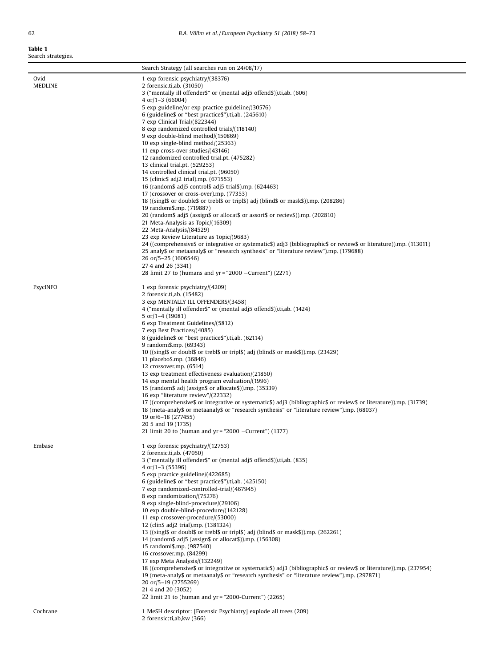# <span id="page-4-0"></span>Table 1

| Search strategies. |                                                                                                                     |
|--------------------|---------------------------------------------------------------------------------------------------------------------|
|                    | Search Strategy (all searches run on 24/08/17)                                                                      |
| Ovid               | 1 exp forensic psychiatry/(38376)                                                                                   |
| <b>MEDLINE</b>     | 2 forensic.ti,ab. (31050)<br>3 ("mentally ill offender\$" or (mental adj5 offend\$)).ti,ab. (606)                   |
|                    | 4 or/1-3 (66004)                                                                                                    |
|                    | 5 exp guideline/or exp practice guideline/(30576)                                                                   |
|                    | 6 (guideline\$ or "best practice\$").ti,ab. (245610)                                                                |
|                    | 7 exp Clinical Trial/(822344)                                                                                       |
|                    | 8 exp randomized controlled trials/(118140)                                                                         |
|                    | 9 exp double-blind method/(150869)                                                                                  |
|                    | 10 exp single-blind method/(25363)<br>11 exp cross-over studies/(43146)                                             |
|                    | 12 randomized controlled trial.pt. (475282)                                                                         |
|                    | 13 clinical trial.pt. (529253)                                                                                      |
|                    | 14 controlled clinical trial.pt. (96050)                                                                            |
|                    | 15 (clinic\$ adj2 trial).mp. (671553)                                                                               |
|                    | 16 (random\$ adj5 control\$ adj5 trial\$),mp. (624463)                                                              |
|                    | 17 (crossover or cross-over).mp. (77353)                                                                            |
|                    | 18 ((singl\$ or double\$ or trebl\$ or tripl\$) adj (blind\$ or mask\$)).mp. (208286)<br>19 randomi\$.mp. (719887)  |
|                    | 20 (random\$ adj5 (assign\$ or allocat\$ or assort\$ or reciev\$)).mp. (202810)                                     |
|                    | 21 Meta-Analysis as Topic/(16309)                                                                                   |
|                    | 22 Meta-Analysis/(84529)                                                                                            |
|                    | 23 exp Review Literature as Topic/(9683)                                                                            |
|                    | 24 ((comprehensive\$ or integrative or systematic\$) adj3 (bibliographic\$ or review\$ or literature)).mp. (113011) |
|                    | 25 analy\$ or metaanaly\$ or "research synthesis" or "literature review").mp. (179688)                              |
|                    | 26 or/5-25 (1606546)<br>27 4 and 26 (3341)                                                                          |
|                    | 28 limit 27 to (humans and $yr = "2000 - Current")$ (2271)                                                          |
|                    |                                                                                                                     |
| PsycINFO           | 1 exp forensic psychiatry/(4209)                                                                                    |
|                    | 2 forensic.ti, ab. (15482)                                                                                          |
|                    | 3 exp MENTALLY ILL OFFENDERS/(3458)                                                                                 |
|                    | 4 ("mentally ill offender\$" or (mental adj5 offend\$)).ti,ab. (1424)                                               |
|                    | 5 or/1-4 (19081)<br>6 exp Treatment Guidelines/(5812)                                                               |
|                    | 7 exp Best Practices/(4085)                                                                                         |
|                    | 8 (guideline\$ or "best practice\$").ti,ab. (62114)                                                                 |
|                    | 9 randomi\$.mp. (69343)                                                                                             |
|                    | 10 ((singl\$ or doubl\$ or trebl\$ or tripl\$) adj (blind\$ or mask\$)).mp. (23429)                                 |
|                    | 11 placebo\$.mp. (36846)                                                                                            |
|                    | 12 crossover.mp. (6514)                                                                                             |
|                    | 13 exp treatment effectiveness evaluation/(21850)<br>14 exp mental health program evaluation/(1996)                 |
|                    | 15 (random\$ adj (assign\$ or allocate\$)), mp. (35339)                                                             |
|                    | 16 exp "literature review"/(22332)                                                                                  |
|                    | 17 ((comprehensive\$ or integrative or systematic\$) adj3 (bibliographic\$ or review\$ or literature)).mp. (31739)  |
|                    | 18 (meta-analy\$ or metaanaly\$ or "research synthesis" or "literature review").mp. (68037)                         |
|                    | 19 or/6-18 (277455)                                                                                                 |
|                    | 20 5 and 19 (1735)                                                                                                  |
|                    | 21 limit 20 to (human and yr = "2000 - Current") (1377)                                                             |
| Embase             | 1 exp forensic psychiatry/(12753)                                                                                   |
|                    | 2 forensic.ti,ab. (47050)                                                                                           |
|                    | 3 ("mentally ill offender\$" or (mental adj5 offend\$)).ti,ab. (835)                                                |
|                    | 4 or/1-3 $(55396)$                                                                                                  |
|                    | 5 exp practice guideline/(422685)                                                                                   |
|                    | 6 (guideline\$ or "best practice\$").ti,ab. (425150)                                                                |
|                    | 7 exp randomized-controlled-trial/(467945)<br>8 exp randomization/(75276)                                           |
|                    | 9 exp single-blind-procedure/(29106)                                                                                |
|                    | 10 exp double-blind-procedure/(142128)                                                                              |
|                    | 11 exp crossover-procedure/(53000)                                                                                  |
|                    | 12 (clin\$ adj2 trial).mp. (1381324)                                                                                |
|                    | 13 ((singl\$ or doubl\$ or trebl\$ or tripl\$) adj (blind\$ or mask\$)).mp. (262261)                                |
|                    | 14 (random\$ adj5 (assign\$ or allocat\$)).mp. (156308)                                                             |
|                    | 15 randomi\$.mp. (987540)                                                                                           |
|                    | 16 crossover.mp. (84299)<br>17 exp Meta Analysis/(132249)                                                           |
|                    | 18 ((comprehensive\$ or integrative or systematic\$) adj3 (bibliographic\$ or review\$ or literature)).mp. (237954) |
|                    | 19 (meta-analy\$ or metaanaly\$ or "research synthesis" or "literature review").mp. (297871)                        |
|                    | 20 or/5-19 (2755269)                                                                                                |
|                    | 21 4 and 20 (3052)                                                                                                  |
|                    | 22 limit 21 to (human and $yr = "2000-Current"$ ) (2265)                                                            |
|                    |                                                                                                                     |
| Cochrane           | 1 MeSH descriptor: [Forensic Psychiatry] explode all trees (209)<br>2 forensic:ti,ab, kw (366)                      |
|                    |                                                                                                                     |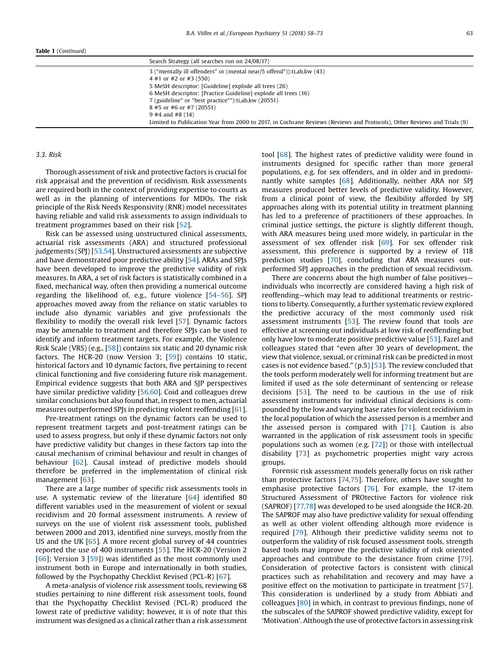| Search Strategy (all searches run on 24/08/17)                                                                                                                                                                                                                                                                                                                                                                                                                     |
|--------------------------------------------------------------------------------------------------------------------------------------------------------------------------------------------------------------------------------------------------------------------------------------------------------------------------------------------------------------------------------------------------------------------------------------------------------------------|
| 3 ("mentally ill offenders" or (mental near/5 offend*)):ti,ab,kw (43)<br>4 #1 or #2 or #3 $(550)$<br>5 MeSH descriptor: [Guideline] explode all trees (26)<br>6 MeSH descriptor: [Practice Guideline] explode all trees (16)<br>7 (guideline* or "best practice*"):ti,ab, kw (20551)<br>8 #5 or #6 or #7 (20551)<br>$9$ #4 and #8 (14)<br>Limited to Publication Year from 2000 to 2017, in Cochrane Reviews (Reviews and Protocols), Other Reviews and Trials (9) |
|                                                                                                                                                                                                                                                                                                                                                                                                                                                                    |

# 3.3. Risk

Thorough assessment of risk and protective factors is crucial for risk appraisal and the prevention of recidivism. Risk assessments are required both in the context of providing expertise to courts as well as in the planning of interventions for MDOs. The risk principle of the Risk Needs Responsivity (RNR) model necessitates having reliable and valid risk assessments to assign individuals to treatment programmes based on their risk [\[52](#page-13-0)].

Risk can be assessed using unstructured clinical assessments, actuarial risk assessments (ARA) and structured professional judgements (SPJ) [[53,54\]](#page-13-0). Unstructured assessments are subjective and have demonstrated poor predictive ability [\[54](#page-13-0)]. ARAs and SPJs have been developed to improve the predictive validity of risk measures. In ARA, a set of risk factors is statistically combined in a fixed, mechanical way, often then providing a numerical outcome regarding the likelihood of, e.g., future violence [\[54](#page-13-0)–56]. SPJ approaches moved away from the reliance on static variables to include also dynamic variables and give professionals the flexibility to modify the overall risk level [\[57](#page-13-0)]. Dynamic factors may be amenable to treatment and therefore SPJs can be used to identify and inform treatment targets. For example, the Violence Risk Scale (VRS) (e.g., [\[58](#page-13-0)]) contains six static and 20 dynamic risk factors. The HCR-20 (now Version 3; [\[59](#page-13-0)]) contains 10 static, historical factors and 10 dynamic factors, five pertaining to recent clinical functioning and five considering future risk management. Empirical evidence suggests that both ARA and SJP perspectives have similar predictive validity [[56,60\]](#page-13-0). Coid and colleagues drew similar conclusions but also found that, in respect to men, actuarial measures outperformed SPJs in predicting violent reoffending [\[61](#page-13-0)].

Pre-treatment ratings on the dynamic factors can be used to represent treatment targets and post-treatment ratings can be used to assess progress, but only if these dynamic factors not only have predictive validity but changes in these factors tap into the causal mechanism of criminal behaviour and result in changes of behaviour [\[62\]](#page-13-0). Causal instead of predictive models should therefore be preferred in the implementation of clinical risk management [\[63](#page-13-0)].

There are a large number of specific risk assessments tools in use. A systematic review of the literature [\[64\]](#page-13-0) identified 80 different variables used in the measurement of violent or sexual recidivism and 20 formal assessment instruments. A review of surveys on the use of violent risk assessment tools, published between 2000 and 2013, identified nine surveys, mostly from the US and the UK [\[65\]](#page-13-0). A more recent global survey of 44 countries reported the use of 400 instruments [\[55](#page-13-0)]. The HCR-20 (Version 2 [[66](#page-13-0)]; Version 3 [\[59\]](#page-13-0)) was identified as the most commonly used instrument both in Europe and internationally in both studies, followed by the Psychopathy Checklist Revised (PCL-R) [\[67](#page-13-0)].

A meta-analysis of violence risk assessment tools, reviewing 68 studies pertaining to nine different risk assessment tools, found that the Psychopathy Checklist Revised (PCL-R) produced the lowest rate of predictive validity; however, it is of note that this instrument was designed as a clinical rather than a risk assessment tool [[68](#page-13-0)]. The highest rates of predictive validity were found in instruments designed for specific rather than more general populations, e.g. for sex offenders, and in older and in predominantly white samples [[68](#page-13-0)]. Additionally, neither ARA nor SPJ measures produced better levels of predictive validity. However, from a clinical point of view, the flexibility afforded by SPJ approaches along with its potential utility in treatment planning has led to a preference of practitioners of these approaches. In criminal justice settings, the picture is slightly different though, with ARA measures being used more widely, in particular in the assessment of sex offender risk [\[69](#page-13-0)]. For sex offender risk assessment, this preference is supported by a review of 118 prediction studies [[70](#page-13-0)], concluding that ARA measures outperformed SPJ approaches in the prediction of sexual recidivism.

There are concerns about the high number of false positives individuals who incorrectly are considered having a high risk of reoffending—which may lead to additional treatments or restrictions to liberty. Consequently, a further systematic review explored the predictive accuracy of the most commonly used risk assessment instruments [\[53](#page-13-0)]. The review found that tools are effective at screening out individuals at low risk of reoffending but only have low to moderate positive predictive value [[53](#page-13-0)]. Fazel and colleagues stated that "even after 30 years of development, the view that violence, sexual, or criminal risk can be predicted in most cases is not evidence based."  $(p.5)$  [[53\]](#page-13-0). The review concluded that the tools perform moderately well for informing treatment but are limited if used as the sole determinant of sentencing or release decisions [\[53](#page-13-0)]. The need to be cautious in the use of risk assessment instruments for individual clinical decisions is compounded by the low and varying base rates for violent recidivism in the local population of which the assessed person is a member and the assessed person is compared with [[71](#page-13-0)]. Caution is also warranted in the application of risk assessment tools in specific populations such as women (e.g. [\[72\]](#page-13-0)) or those with intellectual disability [\[73\]](#page-13-0) as psychometric properties might vary across groups.

Forensic risk assessment models generally focus on risk rather than protective factors [\[74,75\]](#page-13-0). Therefore, others have sought to emphasise protective factors [\[76\]](#page-13-0). For example, the 17-item Structured Assessment of PROtective Factors for violence risk (SAPROF) [\[77,78\]](#page-13-0) was developed to be used alongside the HCR-20. The SAPROF may also have predictive validity for sexual offending as well as other violent offending although more evidence is required [\[79](#page-13-0)]. Although their predictive validity seems not to outperform the validity of risk focused assessment tools, strength based tools may improve the predictive validity of risk oriented approaches and contribute to the desistance from crime [[79](#page-13-0)]. Consideration of protective factors is consistent with clinical practices such as rehabilitation and recovery and may have a positive effect on the motivation to participate in treatment [\[57](#page-13-0)]. This consideration is underlined by a study from Abbiati and colleagues [[80](#page-13-0)] in which, in contrast to previous findings, none of the subscales of the SAPROF showed predictive validity, except for 'Motivation'. Although the use of protective factors in assessing risk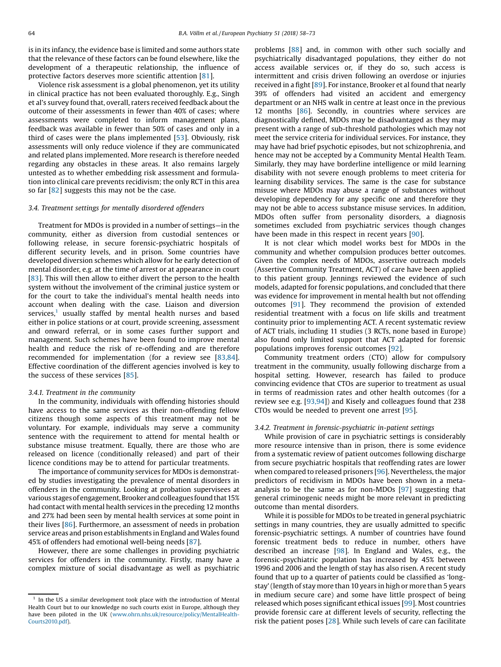is in its infancy, the evidence base is limited and some authors state that the relevance of these factors can be found elsewhere, like the development of a therapeutic relationship, the influence of protective factors deserves more scientific attention [\[81](#page-13-0)].

Violence risk assessment is a global phenomenon, yet its utility in clinical practice has not been evaluated thoroughly. E.g., Singh et al's survey found that, overall, raters received feedback about the outcome of their assessments in fewer than 40% of cases; where assessments were completed to inform management plans, feedback was available in fewer than 50% of cases and only in a third of cases were the plans implemented [[53](#page-13-0)]. Obviously, risk assessments will only reduce violence if they are communicated and related plans implemented. More research is therefore needed regarding any obstacles in these areas. It also remains largely untested as to whether embedding risk assessment and formulation into clinical care prevents recidivism; the only RCT in this area so far [\[82\]](#page-13-0) suggests this may not be the case.

### 3.4. Treatment settings for mentally disordered offenders

Treatment for MDOs is provided in a number of settings—in the community, either as diversion from custodial sentences or following release, in secure forensic-psychiatric hospitals of different security levels, and in prison. Some countries have developed diversion schemes which allow for he early detection of mental disorder, e.g. at the time of arrest or at appearance in court [[83](#page-13-0)]. This will then allow to either divert the person to the health system without the involvement of the criminal justice system or for the court to take the individual's mental health needs into account when dealing with the case. Liaison and diversion services, $<sup>1</sup>$  usually staffed by mental health nurses and based</sup> either in police stations or at court, provide screening, assessment and onward referral, or in some cases further support and management. Such schemes have been found to improve mental health and reduce the risk of re-offending and are therefore recommended for implementation (for a review see [[83,84\]](#page-13-0). Effective coordination of the different agencies involved is key to the success of these services [[85](#page-13-0)].

#### 3.4.1. Treatment in the community

In the community, individuals with offending histories should have access to the same services as their non-offending fellow citizens though some aspects of this treatment may not be voluntary. For example, individuals may serve a community sentence with the requirement to attend for mental health or substance misuse treatment. Equally, there are those who are released on licence (conditionally released) and part of their licence conditions may be to attend for particular treatments.

The importance of community services for MDOs is demonstrated by studies investigating the prevalence of mental disorders in offenders in the community. Looking at probation supervisees at various stages of engagement, Brooker and colleagues found that 15% had contact with mental health services in the preceding 12 months and 27% had been seen by mental health services at some point in their lives [[86](#page-13-0)]. Furthermore, an assessment of needs in probation service areas and prison establishments in England and Wales found 45% of offenders had emotional well-being needs [[87](#page-13-0)].

However, there are some challenges in providing psychiatric services for offenders in the community. Firstly, many have a complex mixture of social disadvantage as well as psychiatric problems [[88](#page-13-0)] and, in common with other such socially and psychiatrically disadvantaged populations, they either do not access available services or, if they do so, such access is intermittent and crisis driven following an overdose or injuries received in a fight [[89](#page-13-0)]. For instance, Brooker et al found that nearly 39% of offenders had visited an accident and emergency department or an NHS walk in centre at least once in the previous 12 months [\[86](#page-13-0)]. Secondly, in countries where services are diagnostically defined, MDOs may be disadvantaged as they may present with a range of sub-threshold pathologies which may not meet the service criteria for individual services. For instance, they may have had brief psychotic episodes, but not schizophrenia, and hence may not be accepted by a Community Mental Health Team. Similarly, they may have borderline intelligence or mild learning disability with not severe enough problems to meet criteria for learning disability services. The same is the case for substance misuse where MDOs may abuse a range of substances without developing dependency for any specific one and therefore they may not be able to access substance misuse services. In addition, MDOs often suffer from personality disorders, a diagnosis sometimes excluded from psychiatric services though changes have been made in this respect in recent years [[90](#page-13-0)].

It is not clear which model works best for MDOs in the community and whether compulsion produces better outcomes. Given the complex needs of MDOs, assertive outreach models (Assertive Community Treatment, ACT) of care have been applied to this patient group. Jennings reviewed the evidence of such models, adapted for forensic populations, and concluded that there was evidence for improvement in mental health but not offending outcomes [[91](#page-13-0)]. They recommend the provision of extended residential treatment with a focus on life skills and treatment continuity prior to implementing ACT. A recent systematic review of ACT trials, including 11 studies (3 RCTs, none based in Europe) also found only limited support that ACT adapted for forensic populations improves forensic outcomes [\[92\]](#page-13-0).

Community treatment orders (CTO) allow for compulsory treatment in the community, usually following discharge from a hospital setting. However, research has failed to produce convincing evidence that CTOs are superior to treatment as usual in terms of readmission rates and other health outcomes (for a review see e.g. [[93,94\]](#page-13-0)) and Kisely and colleagues found that 238 CTOs would be needed to prevent one arrest [[95](#page-13-0)].

#### 3.4.2. Treatment in forensic-psychiatric in-patient settings

While provision of care in psychiatric settings is considerably more resource intensive than in prison, there is some evidence from a systematic review of patient outcomes following discharge from secure psychiatric hospitals that reoffending rates are lower when compared to released prisoners [\[96](#page-13-0)]. Nevertheless, the major predictors of recidivism in MDOs have been shown in a metaanalysis to be the same as for non-MDOs [\[97](#page-13-0)] suggesting that general criminogenic needs might be more relevant in predicting outcome than mental disorders.

While it is possible for MDOs to be treated in general psychiatric settings in many countries, they are usually admitted to specific forensic-psychiatric settings. A number of countries have found forensic treatment beds to reduce in number, others have described an increase [\[98](#page-13-0)]. In England and Wales, e.g., the forensic-psychiatric population has increased by 45% between 1996 and 2006 and the length of stay has also risen. A recent study found that up to a quarter of patients could be classified as 'longstay'(length of stay more than 10 years in high or more than 5 years in medium secure care) and some have little prospect of being released which poses significant ethical issues [[99](#page-13-0)]. Most countries provide forensic care at different levels of security, reflecting the risk the patient poses [\[28](#page-12-0)]. While such levels of care can facilitate

 $1$  In the US a similar development took place with the introduction of Mental Health Court but to our knowledge no such courts exist in Europe, although they have been piloted in the UK ([www.ohrn.nhs.uk/resource/policy/MentalHealth-](http://www.ohrn.nhs.uk/resource/policy/MentalHealthCourts2010.pdf)[Courts2010.pdf\)](http://www.ohrn.nhs.uk/resource/policy/MentalHealthCourts2010.pdf).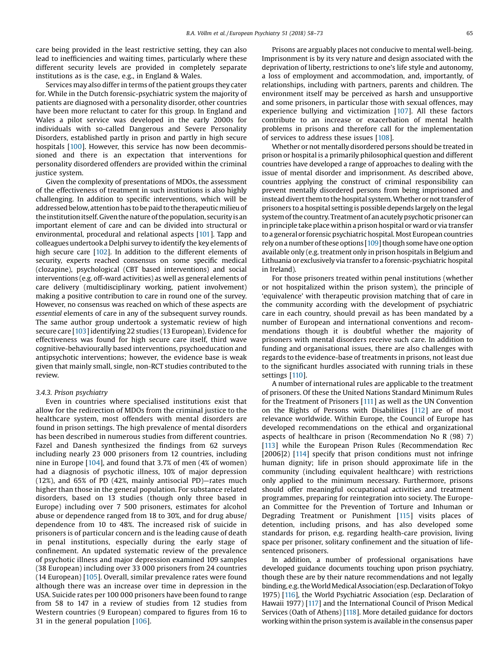care being provided in the least restrictive setting, they can also lead to inefficiencies and waiting times, particularly where these different security levels are provided in completely separate institutions as is the case, e.g., in England & Wales.

Services may also differ in terms of the patient groups they cater for. While in the Dutch forensic-psychiatric system the majority of patients are diagnosed with a personality disorder, other countries have been more reluctant to cater for this group. In England and Wales a pilot service was developed in the early 2000s for individuals with so-called Dangerous and Severe Personality Disorders, established partly in prison and partly in high secure hospitals [\[100](#page-13-0)]. However, this service has now been decommissioned and there is an expectation that interventions for personality disordered offenders are provided within the criminal justice system.

Given the complexity of presentations of MDOs, the assessment of the effectiveness of treatment in such institutions is also highly challenging. In addition to specific interventions, which will be addressed below, attention has to be paid to the therapeutic milieu of the institution itself. Given the nature of the population, security is an important element of care and can be divided into structural or environmental, procedural and relational aspects [[101](#page-13-0)]. Tapp and colleagues undertook a Delphi survey to identify the key elements of high secure care [\[102](#page-13-0)]. In addition to the different elements of security, experts reached consensus on some specific medical (clozapine), psychological (CBT based interventions) and social interventions (e.g. off-ward activities) as well as general elements of care delivery (multidisciplinary working, patient involvement) making a positive contribution to care in round one of the survey. However, no consensus was reached on which of these aspects are essential elements of care in any of the subsequent survey rounds. The same author group undertook a systematic review of high secure care [\[103](#page-13-0)] identifying 22 studies (13 European). Evidence for effectiveness was found for high secure care itself, third wave cognitive-behaviourally based interventions, psychoeducation and antipsychotic interventions; however, the evidence base is weak given that mainly small, single, non-RCT studies contributed to the review.

#### 3.4.3. Prison psychiatry

Even in countries where specialised institutions exist that allow for the redirection of MDOs from the criminal justice to the healthcare system, most offenders with mental disorders are found in prison settings. The high prevalence of mental disorders has been described in numerous studies from different countries. Fazel and Danesh synthesized the findings from 62 surveys including nearly 23 000 prisoners from 12 countries, including nine in Europe [[104](#page-13-0)], and found that 3.7% of men (4% of women) had a diagnosis of psychotic illness, 10% of major depression (12%), and 65% of PD (42%, mainly antisocial PD)—rates much higher than those in the general population. For substance related disorders, based on 13 studies (though only three based in Europe) including over 7 500 prisoners, estimates for alcohol abuse or dependence ranged from 18 to 30%, and for drug abuse/ dependence from 10 to 48%. The increased risk of suicide in prisoners is of particular concern and is the leading cause of death in penal institutions, especially during the early stage of confinement. An updated systematic review of the prevalence of psychotic illness and major depression examined 109 samples (38 European) including over 33 000 prisoners from 24 countries (14 European) [[105](#page-13-0)]. Overall, similar prevalence rates were found although there was an increase over time in depression in the USA. Suicide rates per 100 000 prisoners have been found to range from 58 to 147 in a review of studies from 12 studies from Western countries (9 European) compared to figures from 16 to 31 in the general population [[106](#page-13-0)].

Prisons are arguably places not conducive to mental well-being. Imprisonment is by its very nature and design associated with the deprivation of liberty, restrictions to one's life style and autonomy, a loss of employment and accommodation, and, importantly, of relationships, including with partners, parents and children. The environment itself may be perceived as harsh and unsupportive and some prisoners, in particular those with sexual offences, may experience bullying and victimization [[107\]](#page-13-0). All these factors contribute to an increase or exacerbation of mental health problems in prisons and therefore call for the implementation of services to address these issues [\[108](#page-13-0)].

Whether or not mentally disordered persons should be treated in prison or hospital is a primarily philosophical question and different countries have developed a range of approaches to dealing with the issue of mental disorder and imprisonment. As described above, countries applying the construct of criminal responsibility can prevent mentally disordered persons from being imprisoned and instead divert them to the hospital system. Whether or not transfer of prisoners to a hospital setting is possible depends largely on the legal system of the country. Treatment of an acutely psychotic prisoner can in principle take place within a prison hospital or ward or via transfer to a general or forensic psychiatric hospital. Most European countries rely on a number of these options [[109](#page-13-0)] though some have one option available only (e.g. treatment only in prison hospitals in Belgium and Lithuania or exclusively via transfer to a forensic-psychiatric hospital in Ireland).

For those prisoners treated within penal institutions (whether or not hospitalized within the prison system), the principle of 'equivalence' with therapeutic provision matching that of care in the community according with the development of psychiatric care in each country, should prevail as has been mandated by a number of European and international conventions and recommendations though it is doubtful whether the majority of prisoners with mental disorders receive such care. In addition to funding and organisational issues, there are also challenges with regards to the evidence-base of treatments in prisons, not least due to the significant hurdles associated with running trials in these settings [\[110](#page-13-0)].

A number of international rules are applicable to the treatment of prisoners. Of these the United Nations Standard Minimum Rules for the Treatment of Prisoners [\[111\]](#page-14-0) as well as the UN Convention on the Rights of Persons with Disabilities [[112](#page-14-0)] are of most relevance worldwide. Within Europe, the Council of Europe has developed recommendations on the ethical and organizational aspects of healthcare in prison (Recommendation No R (98) 7) [\[113\]](#page-14-0) while the European Prison Rules (Recommendation Rec [2006]2) [[114\]](#page-14-0) specify that prison conditions must not infringe human dignity; life in prison should approximate life in the community (including equivalent healthcare) with restrictions only applied to the minimum necessary. Furthermore, prisons should offer meaningful occupational activities and treatment programmes, preparing for reintegration into society. The European Committee for the Prevention of Torture and Inhuman or Degrading Treatment or Punishment [[115](#page-14-0)] visits places of detention, including prisons, and has also developed some standards for prison, e.g. regarding health-care provision, living space per prisoner, solitary confinement and the situation of lifesentenced prisoners.

In addition, a number of professional organisations have developed guidance documents touching upon prison psychiatry, though these are by their nature recommendations and not legally binding, e.g. the World Medical Association (esp. Declaration of Tokyo 1975) [\[116](#page-14-0)], the World Psychiatric Association (esp. Declaration of Hawaii 1977) [\[117](#page-14-0)] and the International Council of Prison Medical Services (Oath of Athens) [\[118](#page-14-0)]. More detailed guidance for doctors working within the prison systemis available in the consensus paper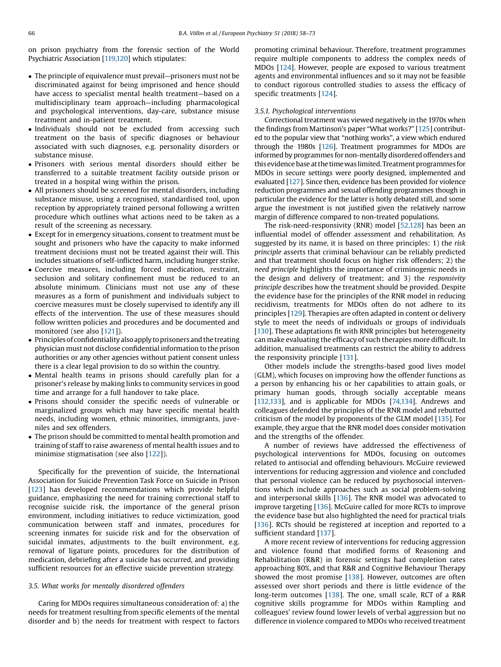on prison psychiatry from the forensic section of the World Psychiatric Association [\[119,120](#page-14-0)] which stipulates:

- The principle of equivalence must prevail—prisoners must not be discriminated against for being imprisoned and hence should have access to specialist mental health treatment—based on a multidisciplinary team approach—including pharmacological and psychological interventions, day-care, substance misuse treatment and in-patient treatment.
- Individuals should not be excluded from accessing such treatment on the basis of specific diagnoses or behaviour associated with such diagnoses, e.g. personality disorders or substance misuse.
- Prisoners with serious mental disorders should either be transferred to a suitable treatment facility outside prison or treated in a hospital wing within the prison.
- All prisoners should be screened for mental disorders, including substance misuse, using a recognised, standardised tool, upon reception by appropriately trained personal following a written procedure which outlines what actions need to be taken as a result of the screening as necessary.
- Except for in emergency situations, consent to treatment must be sought and prisoners who have the capacity to make informed treatment decisions must not be treated against their will. This includes situations of self-inflicted harm, including hunger strike.
- Coercive measures, including forced medication, restraint, seclusion and solitary confinement must be reduced to an absolute minimum. Clinicians must not use any of these measures as a form of punishment and individuals subject to coercive measures must be closely supervised to identify any ill effects of the intervention. The use of these measures should follow written policies and procedures and be documented and monitored (see also [\[121](#page-14-0)]).
- Principles of confidentiality also apply to prisoners and the treating physician must not disclose confidential information to the prison authorities or any other agencies without patient consent unless there is a clear legal provision to do so within the country.
- Mental health teams in prisons should carefully plan for a prisoner's release by making links to community services in good time and arrange for a full handover to take place.
- Prisons should consider the specifi<sup>c</sup> needs of vulnerable or marginalized groups which may have specific mental health needs, including women, ethnic minorities, immigrants, juveniles and sex offenders.
- The prison should be committed to mental health promotion and training of staff to raise awareness of mental health issues and to minimise stigmatisation (see also [[122\]](#page-14-0)).

Specifically for the prevention of suicide, the International Association for Suicide Prevention Task Force on Suicide in Prison [[123](#page-14-0)] has developed recommendations which provide helpful guidance, emphasizing the need for training correctional staff to recognise suicide risk, the importance of the general prison environment, including initiatives to reduce victimization, good communication between staff and inmates, procedures for screening inmates for suicide risk and for the observation of suicidal inmates, adjustments to the built environment, e.g. removal of ligature points, procedures for the distribution of medication, debriefing after a suicide has occurred, and providing sufficient resources for an effective suicide prevention strategy.

## 3.5. What works for mentally disordered offenders

Caring for MDOs requires simultaneous consideration of: a) the needs for treatment resulting from specific elements of the mental disorder and b) the needs for treatment with respect to factors promoting criminal behaviour. Therefore, treatment programmes require multiple components to address the complex needs of MDOs [\[124](#page-14-0)]. However, people are exposed to various treatment agents and environmental influences and so it may not be feasible to conduct rigorous controlled studies to assess the efficacy of specific treatments [[124](#page-14-0)].

#### 3.5.1. Psychological interventions

Correctional treatment was viewed negatively in the 1970s when the findings from Martinson's paper "What works?" [\[125](#page-14-0)] contributed to the popular view that "nothing works", a view which endured through the 1980s [\[126](#page-14-0)]. Treatment programmes for MDOs are informed by programmes for non-mentally disordered offenders and this evidence base at the time was limited. Treatment programmes for MDOs in secure settings were poorly designed, implemented and evaluated [\[127](#page-14-0)]. Since then, evidence has been provided for violence reduction programmes and sexual offending programmes though in particular the evidence for the latter is hotly debated still, and some argue the investment is not justified given the relatively narrow margin of difference compared to non-treated populations.

The risk-need-responsivity (RNR) model [\[52,128](#page-13-0)] has been an influential model of offender assessment and rehabilitation. As suggested by its name, it is based on three principles: 1) the risk principle asserts that criminal behaviour can be reliably predicted and that treatment should focus on higher risk offenders; 2) the need principle highlights the importance of criminogenic needs in the design and delivery of treatment; and 3) the responsivity principle describes how the treatment should be provided. Despite the evidence base for the principles of the RNR model in reducing recidivism, treatments for MDOs often do not adhere to its principles [\[129](#page-14-0)]. Therapies are often adapted in content or delivery style to meet the needs of individuals or groups of individuals [[130\]](#page-14-0). These adaptations fit with RNR principles but heterogeneity can make evaluating the efficacy of such therapies more difficult. In addition, manualised treatments can restrict the ability to address the responsivity principle [\[131](#page-14-0)].

Other models include the strengths-based good lives model (GLM), which focuses on improving how the offender functions as a person by enhancing his or her capabilities to attain goals, or primary human goods, through socially acceptable means [[132,133\]](#page-14-0), and is applicable for MDOs [[74,134\]](#page-13-0). Andrews and colleagues defended the principles of the RNR model and rebutted criticism of the model by proponents of the GLM model [\[135](#page-14-0)]. For example, they argue that the RNR model does consider motivation and the strengths of the offender.

A number of reviews have addressed the effectiveness of psychological interventions for MDOs, focusing on outcomes related to antisocial and offending behaviours. McGuire reviewed interventions for reducing aggression and violence and concluded that personal violence can be reduced by psychosocial interventions which include approaches such as social problem-solving and interpersonal skills [[136](#page-14-0)]. The RNR model was advocated to improve targeting [\[136](#page-14-0)]. McGuire called for more RCTs to improve the evidence base but also highlighted the need for practical trials [[136\]](#page-14-0). RCTs should be registered at inception and reported to a sufficient standard [\[137](#page-14-0)].

A more recent review of interventions for reducing aggression and violence found that modified forms of Reasoning and Rehabilitation (R&R) in forensic settings had completion rates approaching 80%, and that R&R and Cognitive Behaviour Therapy showed the most promise  $[138]$  $[138]$  $[138]$ . However, outcomes are often assessed over short periods and there is little evidence of the long-term outcomes [[138](#page-14-0)]. The one, small scale, RCT of a R&R cognitive skills programme for MDOs within Rampling and colleagues' review found lower levels of verbal aggression but no difference in violence compared to MDOs who received treatment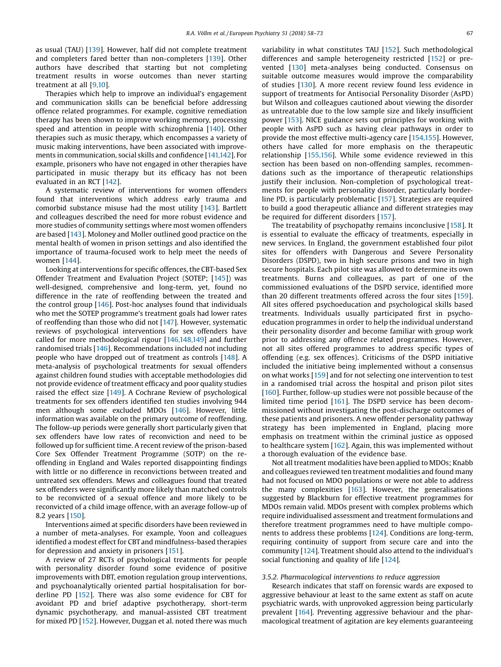as usual (TAU) [\[139](#page-14-0)]. However, half did not complete treatment and completers fared better than non-completers [\[139](#page-14-0)]. Other authors have described that starting but not completing treatment results in worse outcomes than never starting treatment at all [[9,10\]](#page-12-0).

Therapies which help to improve an individual's engagement and communication skills can be beneficial before addressing offence related programmes. For example, cognitive remediation therapy has been shown to improve working memory, processing speed and attention in people with schizophrenia [[140\]](#page-14-0). Other therapies such as music therapy, which encompasses a variety of music making interventions, have been associated with improvements in communication, social skills and confidence [[141,142\]](#page-14-0). For example, prisoners who have not engaged in other therapies have participated in music therapy but its efficacy has not been evaluated in an RCT [[142](#page-14-0)].

A systematic review of interventions for women offenders found that interventions which address early trauma and comorbid substance misuse had the most utility [\[143](#page-14-0)]. Bartlett and colleagues described the need for more robust evidence and more studies of community settings where most women offenders are based [\[143](#page-14-0)]. Moloney and Moller outlined good practice on the mental health of women in prison settings and also identified the importance of trauma-focused work to help meet the needs of women [\[144](#page-14-0)].

Looking at interventions for specific offences, the CBT-based Sex Offender Treatment and Evaluation Project (SOTEP; [\[145](#page-14-0)]) was well-designed, comprehensive and long-term, yet, found no difference in the rate of reoffending between the treated and the control group [[146\]](#page-14-0). Post-hoc analyses found that individuals who met the SOTEP programme's treatment goals had lower rates of reoffending than those who did not [[147](#page-14-0)]. However, systematic reviews of psychological interventions for sex offenders have called for more methodological rigour [\[146,148,149\]](#page-14-0) and further randomised trials [\[146](#page-14-0)]. Recommendations included not including people who have dropped out of treatment as controls [[148\]](#page-14-0). A meta-analysis of psychological treatments for sexual offenders against children found studies with acceptable methodologies did not provide evidence of treatment efficacy and poor quality studies raised the effect size [\[149](#page-14-0)]. A Cochrane Review of psychological treatments for sex offenders identified ten studies involving 944 men although some excluded MDOs [\[146](#page-14-0)]. However, little information was available on the primary outcome of reoffending. The follow-up periods were generally short particularly given that sex offenders have low rates of reconviction and need to be followed up for sufficient time. A recent review of the prison-based Core Sex Offender Treatment Programme (SOTP) on the reoffending in England and Wales reported disappointing findings with little or no difference in reconvictions between treated and untreated sex offenders. Mews and colleagues found that treated sex offenders were significantly more likely than matched controls to be reconvicted of a sexual offence and more likely to be reconvicted of a child image offence, with an average follow-up of 8.2 years [[150\]](#page-14-0).

Interventions aimed at specific disorders have been reviewed in a number of meta-analyses. For example, Yoon and colleagues identified a modest effect for CBT and mindfulness-based therapies for depression and anxiety in prisoners [\[151](#page-14-0)].

A review of 27 RCTs of psychological treatments for people with personality disorder found some evidence of positive improvements with DBT, emotion regulation group interventions, and psychoanalytically oriented partial hospitalisation for borderline PD [[152](#page-14-0)]. There was also some evidence for CBT for avoidant PD and brief adaptive psychotherapy, short-term dynamic psychotherapy, and manual-assisted CBT treatment for mixed PD [\[152](#page-14-0)]. However, Duggan et al. noted there was much variability in what constitutes TAU [\[152](#page-14-0)]. Such methodological differences and sample heterogeneity restricted [\[152](#page-14-0)] or prevented [[130\]](#page-14-0) meta-analyses being conducted. Consensus on suitable outcome measures would improve the comparability of studies [\[130](#page-14-0)]. A more recent review found less evidence in support of treatments for Antisocial Personality Disorder (AsPD) but Wilson and colleagues cautioned about viewing the disorder as untreatable due to the low sample size and likely insufficient power [[153](#page-14-0)]. NICE guidance sets out principles for working with people with AsPD such as having clear pathways in order to provide the most effective multi-agency care [[154,155](#page-14-0)]. However, others have called for more emphasis on the therapeutic relationship [[155,156](#page-14-0)]. While some evidence reviewed in this section has been based on non-offending samples, recommendations such as the importance of therapeutic relationships justify their inclusion. Non-completion of psychological treatments for people with personality disorder, particularly borderline PD, is particularly problematic [[157\]](#page-14-0). Strategies are required to build a good therapeutic alliance and different strategies may be required for different disorders [[157\]](#page-14-0).

The treatability of psychopathy remains inconclusive [[158](#page-14-0)]. It is essential to evaluate the efficacy of treatments, especially in new services. In England, the government established four pilot sites for offenders with Dangerous and Severe Personality Disorders (DSPD), two in high secure prisons and two in high secure hospitals. Each pilot site was allowed to determine its own treatments. Burns and colleagues, as part of one of the commissioned evaluations of the DSPD service, identified more than 20 different treatments offered across the four sites [\[159](#page-14-0)]. All sites offered psychoeducation and psychological skills based treatments. Individuals usually participated first in psychoeducation programmes in order to help the individual understand their personality disorder and become familiar with group work prior to addressing any offence related programmes. However, not all sites offered programmes to address specific types of offending (e.g. sex offences). Criticisms of the DSPD initiative included the initiative being implemented without a consensus on what works [\[159](#page-14-0)] and for not selecting one intervention to test in a randomised trial across the hospital and prison pilot sites [[160\]](#page-14-0). Further, follow-up studies were not possible because of the limited time period [[161\]](#page-14-0). The DSPD service has been decommissioned without investigating the post-discharge outcomes of these patients and prisoners. A new offender personality pathway strategy has been implemented in England, placing more emphasis on treatment within the criminal justice as opposed to healthcare system [[162\]](#page-14-0). Again, this was implemented without a thorough evaluation of the evidence base.

Not all treatment modalities have been applied to MDOs; Knabb and colleagues reviewed ten treatment modalities and found many had not focused on MDO populations or were not able to address the many complexities [\[163](#page-14-0)]. However, the generalisations suggested by Blackburn for effective treatment programmes for MDOs remain valid. MDOs present with complex problems which require individualised assessment and treatment formulations and therefore treatment programmes need to have multiple components to address these problems [\[124](#page-14-0)]. Conditions are long-term, requiring continuity of support from secure care and into the community [[124\]](#page-14-0). Treatment should also attend to the individual's social functioning and quality of life [[124](#page-14-0)].

#### 3.5.2. Pharmacological interventions to reduce aggression

Research indicates that staff on forensic wards are exposed to aggressive behaviour at least to the same extent as staff on acute psychiatric wards, with unprovoked aggression being particularly prevalent [\[164](#page-14-0)]. Preventing aggressive behaviour and the pharmacological treatment of agitation are key elements guaranteeing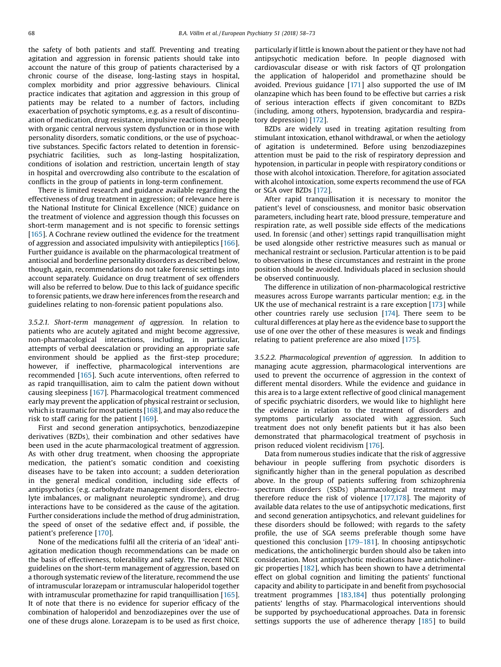the safety of both patients and staff. Preventing and treating agitation and aggression in forensic patients should take into account the nature of this group of patients characterised by a chronic course of the disease, long-lasting stays in hospital, complex morbidity and prior aggressive behaviours. Clinical practice indicates that agitation and aggression in this group of patients may be related to a number of factors, including exacerbation of psychotic symptoms, e.g. as a result of discontinuation of medication, drug resistance, impulsive reactions in people with organic central nervous system dysfunction or in those with personality disorders, somatic conditions, or the use of psychoactive substances. Specific factors related to detention in forensicpsychiatric facilities, such as long-lasting hospitalization, conditions of isolation and restriction, uncertain length of stay in hospital and overcrowding also contribute to the escalation of conflicts in the group of patients in long-term confinement.

There is limited research and guidance available regarding the effectiveness of drug treatment in aggression; of relevance here is the National Institute for Clinical Excellence (NICE) guidance on the treatment of violence and aggression though this focusses on short-term management and is not specific to forensic settings [[165\]](#page-14-0). A Cochrane review outlined the evidence for the treatment of aggression and associated impulsivity with antiepileptics [[166\]](#page-14-0). Further guidance is available on the pharmacological treatment of antisocial and borderline personality disorders as described below, though, again, recommendations do not take forensic settings into account separately. Guidance on drug treatment of sex offenders will also be referred to below. Due to this lack of guidance specific to forensic patients, we draw here inferences from the research and guidelines relating to non-forensic patient populations also.

3.5.2.1. Short-term management of aggression. In relation to patients who are acutely agitated and might become aggressive, non-pharmacological interactions, including, in particular, attempts of verbal deescalation or providing an appropriate safe environment should be applied as the first-step procedure; however, if ineffective, pharmacological interventions are recommended [\[165](#page-14-0)]. Such acute interventions, often referred to as rapid tranquillisation, aim to calm the patient down without causing sleepiness [[167](#page-14-0)]. Pharmacological treatment commenced early may prevent the application of physical restraint or seclusion, which is traumatic for most patients  $[168]$  $[168]$  $[168]$ , and may also reduce the risk to staff caring for the patient [[169\]](#page-14-0).

First and second generation antipsychotics, benzodiazepine derivatives (BZDs), their combination and other sedatives have been used in the acute pharmacological treatment of aggression. As with other drug treatment, when choosing the appropriate medication, the patient's somatic condition and coexisting diseases have to be taken into account; a sudden deterioration in the general medical condition, including side effects of antipsychotics (e.g. carbohydrate management disorders, electrolyte imbalances, or malignant neuroleptic syndrome), and drug interactions have to be considered as the cause of the agitation. Further considerations include the method of drug administration, the speed of onset of the sedative effect and, if possible, the patient's preference [[170](#page-14-0)].

None of the medications fulfil all the criteria of an 'ideal' antiagitation medication though recommendations can be made on the basis of effectiveness, tolerability and safety. The recent NICE guidelines on the short-term management of aggression, based on a thorough systematic review of the literature, recommend the use of intramuscular lorazepam or intramuscular haloperidol together with intramuscular promethazine for rapid tranquillisation [[165\]](#page-14-0). It of note that there is no evidence for superior efficacy of the combination of haloperidol and benzodiazepines over the use of one of these drugs alone. Lorazepam is to be used as first choice, particularly if little is known about the patient or they have not had antipsychotic medication before. In people diagnosed with cardiovascular disease or with risk factors of QT prolongation the application of haloperidol and promethazine should be avoided. Previous guidance [\[171](#page-14-0)] also supported the use of IM olanzapine which has been found to be effective but carries a risk of serious interaction effects if given concomitant to BZDs (including, among others, hypotension, bradycardia and respiratory depression) [\[172](#page-15-0)].

BZDs are widely used in treating agitation resulting from stimulant intoxication, ethanol withdrawal, or when the aetiology of agitation is undetermined. Before using benzodiazepines attention must be paid to the risk of respiratory depression and hypotension, in particular in people with respiratory conditions or those with alcohol intoxication. Therefore, for agitation associated with alcohol intoxication, some experts recommend the use of FGA or SGA over BZDs [\[172](#page-15-0)].

After rapid tranquillisation it is necessary to monitor the patient's level of consciousness, and monitor basic observation parameters, including heart rate, blood pressure, temperature and respiration rate, as well possible side effects of the medications used. In forensic (and other) settings rapid tranquillisation might be used alongside other restrictive measures such as manual or mechanical restraint or seclusion. Particular attention is to be paid to observations in these circumstances and restraint in the prone position should be avoided. Individuals placed in seclusion should be observed continuously.

The difference in utilization of non-pharmacological restrictive measures across Europe warrants particular mention; e.g. in the UK the use of mechanical restraint is a rare exception [\[173\]](#page-15-0) while other countries rarely use seclusion [\[174](#page-15-0)]. There seem to be cultural differences at play here as the evidence base to support the use of one over the other of these measures is weak and findings relating to patient preference are also mixed [\[175](#page-15-0)].

3.5.2.2. Pharmacological prevention of aggression. In addition to managing acute aggression, pharmacological interventions are used to prevent the occurrence of aggression in the context of different mental disorders. While the evidence and guidance in this area is to a large extent reflective of good clinical management of specific psychiatric disorders, we would like to highlight here the evidence in relation to the treatment of disorders and symptoms particularly associated with aggression. Such treatment does not only benefit patients but it has also been demonstrated that pharmacological treatment of psychosis in prison reduced violent recidivism [\[176\]](#page-15-0).

Data from numerous studies indicate that the risk of aggressive behaviour in people suffering from psychotic disorders is significantly higher than in the general population as described above. In the group of patients suffering from schizophrenia spectrum disorders (SSDs) pharmacological treatment may therefore reduce the risk of violence [[177,178\]](#page-15-0). The majority of available data relates to the use of antipsychotic medications, first and second generation antipsychotics, and relevant guidelines for these disorders should be followed; with regards to the safety profile, the use of SGA seems preferable though some have questioned this conclusion [179–[181\]](#page-15-0). In choosing antipsychotic medications, the anticholinergic burden should also be taken into consideration. Most antipsychotic medications have anticholinergic properties [[182](#page-15-0)], which has been shown to have a detrimental effect on global cognition and limiting the patients' functional capacity and ability to participate in and benefit from psychosocial treatment programmes [\[183,184](#page-15-0)] thus potentially prolonging patients' lengths of stay. Pharmacological interventions should be supported by psychoeducational approaches. Data in forensic settings supports the use of adherence therapy [[185\]](#page-15-0) to build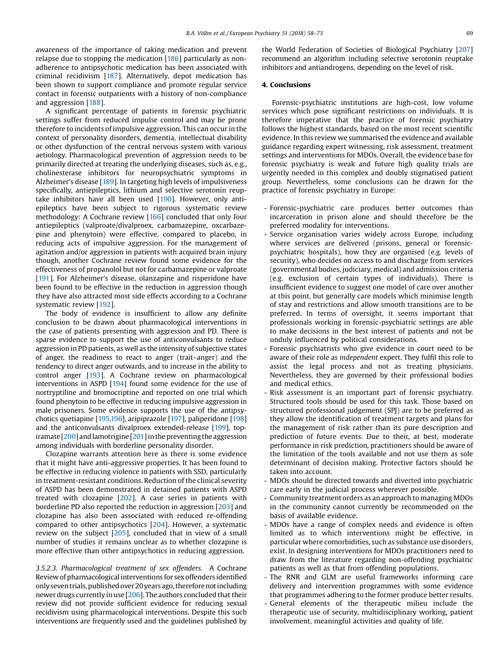awareness of the importance of taking medication and prevent relapse due to stopping the medication [[186\]](#page-15-0) particularly as nonadherence to antipsychotic medication has been associated with criminal recidivism [[187](#page-15-0)]. Alternatively, depot medication has been shown to support compliance and promote regular service contact in forensic outpatients with a history of non-compliance and aggression [[188\]](#page-15-0).

A significant percentage of patients in forensic psychiatric settings suffer from reduced impulse control and may be prone therefore to incidents of impulsive aggression. This can occur in the context of personality disorders, dementia, intellectual disability or other dysfunction of the central nervous system with various aetiology. Pharmacological prevention of aggression needs to be primarily directed at treating the underlying diseases, such as, e.g., cholinesterase inhibitors for neuropsychiatric symptoms in Alzheimer's disease [[189\]](#page-15-0). In targeting high levels of impulsiveness specifically, antiepileptics, lithium and selective serotonin reuptake inhibitors have all been used [\[190](#page-15-0)]. However, only antiepileptics have been subject to rigorous systematic review methodology: A Cochrane review [[166\]](#page-14-0) concluded that only four antiepileptics (valproate/divalproex, carbamazepine, oxcarbazepine and phenytoin) were effective, compared to placebo, in reducing acts of impulsive aggression. For the management of agitation and/or aggression in patients with acquired brain injury though, another Cochrane review found some evidence for the effectiveness of propanolol but not for carbamazepine or valproate [[191](#page-15-0)]. For Alzheimer's disease, olanzapine and risperidone have been found to be effective in the reduction in aggression though they have also attracted most side effects according to a Cochrane systematic review [[192\]](#page-15-0).

The body of evidence is insufficient to allow any definite conclusion to be drawn about pharmacological interventions in the case of patients presenting with aggression and PD. There is sparse evidence to support the use of anticonvulsants to reduce aggression in PD patients, as well as the intensity of subjective states of anger, the readiness to react to anger (trait–anger) and the tendency to direct anger outwards, and to increase in the ability to control anger [[193\]](#page-15-0). A Cochrane review on pharmacological interventions in ASPD [[194](#page-15-0)] found some evidence for the use of nortryptiline and bromocriptine and reported on one trial which found phenytoin to be effective in reducing impulsive aggression in male prisoners. Some evidence supports the use of the antipsychotics quetiapine [[195,196](#page-15-0)], aripiprazole [[197](#page-15-0)], paliperidone [[198](#page-15-0)] and the anticonvulsants divalproex extended-release [\[199\]](#page-15-0), topiramate  $[200]$  $[200]$  $[200]$  and lamotrigine  $[201]$  $[201]$  in the preventing the aggression among individuals with borderline personality disorder.

Clozapine warrants attention here as there is some evidence that it might have anti-aggressive properties. It has been found to be effective in reducing violence in patients with SSD, particularly in treatment-resistant conditions. Reduction of the clinical severity of ASPD has been demonstrated in detained patients with ASPD treated with clozapine [[202](#page-15-0)]. A case series in patients with borderline PD also reported the reduction in aggression [\[203](#page-15-0)] and clozapine has also been associated with reduced re-offending compared to other antipsychotics [[204](#page-15-0)]. However, a systematic review on the subject [[205](#page-15-0)], concluded that in view of a small number of studies it remains unclear as to whether clozapine is more effective than other antipsychotics in reducing aggression.

3.5.2.3. Pharmacological treatment of sex offenders. A Cochrane Review of pharmacological interventions for sex offenders identified onlyseven trials, publishedover 20 yearsago,thereforenotincluding newer drugs currently in use  $[206]$ . The authors concluded that their review did not provide sufficient evidence for reducing sexual recidivism using pharmacological interventions. Despite this such interventions are frequently used and the guidelines published by the World Federation of Societies of Biological Psychiatry [\[207](#page-15-0)] recommend an algorithm including selective serotonin reuptake inhibitors and antiandrogens, depending on the level of risk.

# 4. Conclusions

Forensic-psychiatric institutions are high-cost, low volume services which pose significant restrictions on individuals. It is therefore imperative that the practice of forensic psychiatry follows the highest standards, based on the most recent scientific evidence. In this review we summarised the evidence and available guidance regarding expert witnessing, risk assessment, treatment settings and interventions for MDOs. Overall, the evidence base for forensic psychiatry is weak and future high quality trials are urgently needed in this complex and doubly stigmatised patient group. Nevertheless, some conclusions can be drawn for the practice of forensic psychiatry in Europe:

- Forensic-psychiatric care produces better outcomes than incarceration in prison alone and should therefore be the preferred modality for interventions.
- Service organisation varies widely across Europe, including where services are delivered (prisons, general or forensicpsychiatric hospitals), how they are organised (e.g. levels of security), who decides on access to and discharge from services (governmental bodies, judiciary, medical) and admission criteria (e.g. exclusion of certain types of individuals). There is insufficient evidence to suggest one model of care over another at this point, but generally care models which minimise length of stay and restrictions and allow smooth transitions are to be preferred. In terms of oversight, it seems important that professionals working in forensic-psychiatric settings are able to make decisions in the best interest of patients and not be unduly influenced by political considerations.
- Forensic psychiatrists who give evidence in court need to be aware of their role as independent expert. They fulfil this role to assist the legal process and not as treating physicians. Nevertheless, they are governed by their professional bodies and medical ethics.
- Risk assessment is an important part of forensic psychiatry. Structured tools should be used for this task. Those based on structured professional judgement (SPJ) are to be preferred as they allow the identification of treatment targets and plans for the management of risk rather than its pure description and prediction of future events. Due to their, at best, moderate performance in risk prediction, practitioners should be aware of the limitation of the tools available and not use them as sole determinant of decision making. Protective factors should be taken into account.
- MDOs should be directed towards and diverted into psychiatric care early in the judicial process wherever possible.
- Community treatment orders as an approach to managing MDOs in the community cannot currently be recommended on the basis of available evidence.
- MDOs have a range of complex needs and evidence is often limited as to which interventions might be effective, in particular where comorbidities, such as substance use disorders, exist. In designing interventions for MDOs practitioners need to draw from the literature regarding non-offending psychiatric patients as well as that from offending populations.
- The RNR and GLM are useful frameworks informing care delivery and intervention programmes with some evidence that programmes adhering to the former produce better results.
- General elements of the therapeutic milieu include the therapeutic use of security, multidisciplinary working, patient involvement, meaningful activities and quality of life.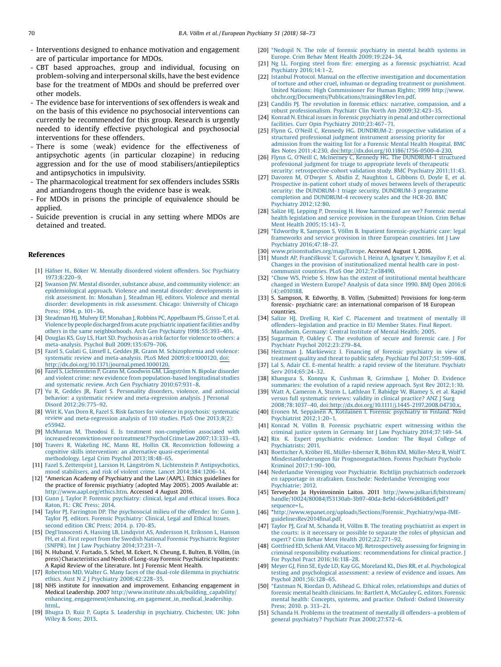- <span id="page-12-0"></span>- Interventions designed to enhance motivation and engagement are of particular importance for MDOs.
- CBT based approaches, group and individual, focusing on problem-solving and interpersonal skills, have the best evidence base for the treatment of MDOs and should be preferred over other models.
- The evidence base for interventions of sex offenders is weak and on the basis of this evidence no psychosocial interventions can currently be recommended for this group. Research is urgently needed to identify effective psychological and psychosocial interventions for these offenders.
- There is some (weak) evidence for the effectiveness of antipsychotic agents (in particular clozapine) in reducing aggression and for the use of mood stabilisers/antiepileptics and antipsychotics in impulsivity.
- The pharmacological treatment for sex offenders includes SSRIs and antiandrogens though the evidence base is weak.
- For MDOs in prisons the principle of equivalence should be applied.
- Suicide prevention is crucial in any setting where MDOs are detained and treated.

### References

- [1] Häfner H., Böker W. Mentally [disordered](http://refhub.elsevier.com/S0924-9338(17)33024-9/sbref0005) violent offenders. Soc Psychiatry [1973;8:220](http://refhub.elsevier.com/S0924-9338(17)33024-9/sbref0005)–9.
- [2] Swanson JW. Mental disorder, substance abuse, and [community](http://refhub.elsevier.com/S0924-9338(17)33024-9/sbref0010) violence: an [epidemiological](http://refhub.elsevier.com/S0924-9338(17)33024-9/sbref0010) approach. Violence and mental disorder: developments in risk [assessment.](http://refhub.elsevier.com/S0924-9338(17)33024-9/sbref0010) In: Monahan J, Steadman HJ, editors. Violence and mental disorder: [developments](http://refhub.elsevier.com/S0924-9338(17)33024-9/sbref0010) in risk assessment. Chicago: University of Chicago [Press;](http://refhub.elsevier.com/S0924-9338(17)33024-9/sbref0010) 1994. p. 101–36.
- [3] Steadman HJ, Mulvey EP, Monahan J, Robbins PC, [Appelbaum](http://refhub.elsevier.com/S0924-9338(17)33024-9/sbref0015) PS, Grisso T, et al. Violence by people discharged from acute psychiatric inpatient facilities and by others in the same [neighborhoods.](http://refhub.elsevier.com/S0924-9338(17)33024-9/sbref0015) Arch Gen Psychiatry 1998;55:393–401.
- [4] Douglas KS, Guy LS, Hart SD. [Psychosis](http://refhub.elsevier.com/S0924-9338(17)33024-9/sbref0020) as a risk factor for violence to others: a [meta-analysis.](http://refhub.elsevier.com/S0924-9338(17)33024-9/sbref0020) Psychol Bull 2009;135:679–706.
- [5] Fazel S, Gulati G, Linsell L, Geddes JR, Grann M. [Schizophrenia](http://refhub.elsevier.com/S0924-9338(17)33024-9/sbref0025) and violence: systematic review and meta-analysis. PLoS Med [2009;6:e1000120,](http://refhub.elsevier.com/S0924-9338(17)33024-9/sbref0025) doi: <http://dx.doi.org/10.1371/journal.pmed.1000120>[.](http://refhub.elsevier.com/S0924-9338(17)33024-9/sbref0025)
- [6] Fazel S, [Lichtenstein](http://refhub.elsevier.com/S0924-9338(17)33024-9/sbref0030) P, Grann M, Goodwin GM, Långström N. Bipolar disorder and violent crime: new evidence from [population-based](http://refhub.elsevier.com/S0924-9338(17)33024-9/sbref0030) longitudinal studies and systematic review. Arch Gen Psychiatry [2010;67:931](http://refhub.elsevier.com/S0924-9338(17)33024-9/sbref0030)–8.
- [7] Yu R, Geddes JR, Fazel S. [Personality](http://refhub.elsevier.com/S0924-9338(17)33024-9/sbref0035) disorders, violence, and antisocial behavior: a systematic review and [meta-regression](http://refhub.elsevier.com/S0924-9338(17)33024-9/sbref0035) analysis. J Personal Disord [2012;26:775](http://refhub.elsevier.com/S0924-9338(17)33024-9/sbref0035)–92.
- [8] Witt K, Van Dorn R, Fazel S. Risk factors for violence in psychosis: [systematic](http://refhub.elsevier.com/S0924-9338(17)33024-9/sbref0040) review and [meta-regression](http://refhub.elsevier.com/S0924-9338(17)33024-9/sbref0040) analysis of 110 studies. PLoS One 2013;8(2): [e55942](http://refhub.elsevier.com/S0924-9338(17)33024-9/sbref0040).
- [9] McMurran M, Theodosi E. Is treatment [non-completion](http://refhub.elsevier.com/S0924-9338(17)33024-9/sbref0045) associated with increased reconviction over no treatment? Psychol Crime Law 2007;13:333-43.
- [10] Travers R, Wakeling HC, Mann RE, Hollin CR. [Reconviction](http://refhub.elsevier.com/S0924-9338(17)33024-9/sbref0050) following a cognitive skills intervention: an alternative [quasi-experimental](http://refhub.elsevier.com/S0924-9338(17)33024-9/sbref0050) [methodology.](http://refhub.elsevier.com/S0924-9338(17)33024-9/sbref0050) Legal Crim Psychol 2013;18:48–65.
- [11] Fazel S, Zetterqvist J, Larsson H, Långström N, Lichtenstein P. [Antipsychotics,](http://refhub.elsevier.com/S0924-9338(17)33024-9/sbref0055) mood stabilisers, and risk of violent crime. Lancet [2014;384:1206](http://refhub.elsevier.com/S0924-9338(17)33024-9/sbref0055)–14.
- [12] \*American Academy of Psychiatry and the Law (AAPL). Ethics guidelines for the practice of forensic psychiatry (adopted May 2005). 2005 Available at: <http://www.aapl.org/ethics.htm>. Accessed 4 August 2016.
- [13] Gunn J, Taylor P. Forensic [psychiatry:](http://refhub.elsevier.com/S0924-9338(17)33024-9/sbref0065) clinical, legal and ethical issues. Boca [Raton,](http://refhub.elsevier.com/S0924-9338(17)33024-9/sbref0065) FL: CRC Press; 2014.
- [14] Taylor PJ, Farrington DP. The [psychosocial](http://refhub.elsevier.com/S0924-9338(17)33024-9/sbref0070) milieu of the offender. In: Gunn J, Taylor PJ, editors. Forensic [Psychiatry:](http://refhub.elsevier.com/S0924-9338(17)33024-9/sbref0070) Clinical, Legal and Ethical Issues. second [edition](http://refhub.elsevier.com/S0924-9338(17)33024-9/sbref0070) CRC Press; 2014. p. 170–85.
- [15] [Degl'Innocenti](http://refhub.elsevier.com/S0924-9338(17)33024-9/sbref0075) A, Hassing LB, Lindqvist AS, Andersson H, Eriksson L, Hanson FH, et al. First report from the Swedish National Forensic [Psychiatric](http://refhub.elsevier.com/S0924-9338(17)33024-9/sbref0075) Register (SNFPR). Int J Law Psychiatry [2014;37:231](http://refhub.elsevier.com/S0924-9338(17)33024-9/sbref0075)–7.
- [16] N. Huband, V. Furtado, S. Schel, M. Eckert, N. Cheung, E. Bulten, B. Völlm, (in press) Characteristics and Needs of Long-stay Forensic Psychiatric Inpatients: A Rapid Review of the Literature. Int J Forensic Ment Health.
- [17] Robertson MD, Walter G. Many faces of the dual-role dilemma in [psychiatric](http://refhub.elsevier.com/S0924-9338(17)33024-9/sbref0085) ethics. Aust N Z J Psychiatry [2008;42:228](http://refhub.elsevier.com/S0924-9338(17)33024-9/sbref0085)–35.
- [18] NHS institute for innovation and improvement. Enhancing engagement in Medical Leadership. 2007 [http://www.institute.nhs.uk/building\\_capability/](http://www.institute.nhs.uk/building_capability/enhancing_engagement/enhancing_en%20gagement_in_medical_leadership.html) [enhancing\\_engagement/enhancing\\_en](http://www.institute.nhs.uk/building_capability/enhancing_engagement/enhancing_en%20gagement_in_medical_leadership.html) gagement\_in\_medical\_leadership. [html](http://www.institute.nhs.uk/building_capability/enhancing_engagement/enhancing_en%20gagement_in_medical_leadership.html)..
- [19] Bhugra D, Ruiz P, Gupta S. Leadership in psychiatry. [Chichester,](http://refhub.elsevier.com/S0924-9338(17)33024-9/sbref0095) UK: John [Wiley](http://refhub.elsevier.com/S0924-9338(17)33024-9/sbref0095) & Sons; 2013.
- [20] \*Nedopil N. The role of forensic [psychiatry](http://refhub.elsevier.com/S0924-9338(17)33024-9/sbref0100) in mental health systems in Europe. Crim Behav Ment Health [2009;19:224](http://refhub.elsevier.com/S0924-9338(17)33024-9/sbref0100)–34.
- [21] Ng LL. Forging steel from fire: emerging as a forensic [psychiatrist.](http://refhub.elsevier.com/S0924-9338(17)33024-9/sbref0105) Acad [Psychiatry](http://refhub.elsevier.com/S0924-9338(17)33024-9/sbref0105) 2016;14:1–2.
- [22] Istanbul Protocol. Manual on the effective investigation and [documentation](http://refhub.elsevier.com/S0924-9338(17)33024-9/sbref0110) of torture and other cruel, inhuman or degrading treatment or [punishment.](http://refhub.elsevier.com/S0924-9338(17)33024-9/sbref0110) United Nations: High [Commissioner](http://refhub.elsevier.com/S0924-9338(17)33024-9/sbref0110) For Human Rights; 1999 http://www. [ohchr.org/Documents/Publications/training8Rev1en.pdf.](http://refhub.elsevier.com/S0924-9338(17)33024-9/sbref0110)
- [23] Candilis PJ. The revolution in forensic ethics: narrative, [compassion,](http://refhub.elsevier.com/S0924-9338(17)33024-9/sbref0115) and a robust [professionalism.](http://refhub.elsevier.com/S0924-9338(17)33024-9/sbref0115) Psychiatr Clin North Am 2009;32:423–35.
- [24] Konrad N. Ethical issues in forensic psychiatry in penal and other [correctional](http://refhub.elsevier.com/S0924-9338(17)33024-9/sbref0120) facilities. Curr Opin Psychiatry [2010;23:467](http://refhub.elsevier.com/S0924-9338(17)33024-9/sbref0120)–71.
- [25] Flynn G, O'Neill C, Kennedy HG. [DUNDRUM-2:](http://refhub.elsevier.com/S0924-9338(17)33024-9/sbref0125) prospective validation of a structured [professional](http://refhub.elsevier.com/S0924-9338(17)33024-9/sbref0125) judgment instrument assessing priority for [admission](http://refhub.elsevier.com/S0924-9338(17)33024-9/sbref0125) from the waiting list for a Forensic Mental Health Hospital. BMC Res Notes 2011;4:230, [doi:http://dx.doi.org/10.1186/1756-0500-4-230.](http://refhub.elsevier.com/S0924-9338(17)33024-9/sbref0125)
- [26] Flynn G, O'Neill C, McInerney C, Kennedy HG. The [DUNDRUM-1](http://refhub.elsevier.com/S0924-9338(17)33024-9/sbref0130) structured [professional](http://refhub.elsevier.com/S0924-9338(17)33024-9/sbref0130) judgment for triage to appropriate levels of therapeutic security: [retrospective-cohort](http://refhub.elsevier.com/S0924-9338(17)33024-9/sbref0130) validation study. BMC Psychiatry 2011;11:43.
- [27] Davoren M, O'Dwyer S, Abidin Z, [Naughton](http://refhub.elsevier.com/S0924-9338(17)33024-9/sbref0135) L, Gibbons O, Doyle E, et al. Prospective in-patient cohort study of moves between levels of [therapeutic](http://refhub.elsevier.com/S0924-9338(17)33024-9/sbref0135) security: the [DUNDRUM-1](http://refhub.elsevier.com/S0924-9338(17)33024-9/sbref0135) triage security, DUNDRUM-3 programme completion and [DUNDRUM-4](http://refhub.elsevier.com/S0924-9338(17)33024-9/sbref0135) recovery scales and the HCR-20. BMC Psychiatry [2012;12:80](http://refhub.elsevier.com/S0924-9338(17)33024-9/sbref0135).
- [28] Salize HJ, Lepping P, Dressing H. How [harmonized](http://refhub.elsevier.com/S0924-9338(17)33024-9/sbref0140) are we? Forensic mental health [legislation](http://refhub.elsevier.com/S0924-9338(17)33024-9/sbref0140) and service provision in the European Union. Crim Behav Ment Health [2005;15:143](http://refhub.elsevier.com/S0924-9338(17)33024-9/sbref0140)–7.
- [29] \*Edworthy R, Sampson S, Völlm B. Inpatient [forensic-psychiatric](http://refhub.elsevier.com/S0924-9338(17)33024-9/sbref0145) care: legal [frameworks](http://refhub.elsevier.com/S0924-9338(17)33024-9/sbref0145) and service provision in three European countries. Int J Law Psychiatry [2016;47:18](http://refhub.elsevier.com/S0924-9338(17)33024-9/sbref0145)–27.
- [30] [www.prisonstudies.org/map/Europe.](http://www.prisonstudies.org/map/Europe) Accessed August 1, 2016.
- [31] Mundt AP, Frančišković T, Gurovich I, Heinz A, Ignatyev Y, [Ismayilov](http://refhub.elsevier.com/S0924-9338(17)33024-9/sbref0155) F, et al. Changes in the provision of [institutionalized](http://refhub.elsevier.com/S0924-9338(17)33024-9/sbref0155) mental health care in postcommunist countries. PLoS One [2012;7:e38490](http://refhub.elsevier.com/S0924-9338(17)33024-9/sbref0155).
- [32] \*Chow WS, Priebe S. How has the extent of [institutional](http://refhub.elsevier.com/S0924-9338(17)33024-9/sbref0160) mental healthcare changed in [Western](http://refhub.elsevier.com/S0924-9338(17)33024-9/sbref0160) Europe? Analysis of data since 1990. BMJ Open 2016;6 [\(4\):e010188.](http://refhub.elsevier.com/S0924-9338(17)33024-9/sbref0160)
- [33] S. Sampson, R. Edworthy, B. Völlm, (Submitted) Provisions for long-term forensic- psychiatric care: an international comparison of 18 European countries.
- [34] Salize HJ, Dreßing H, Kief C. [Placement](http://refhub.elsevier.com/S0924-9338(17)33024-9/sbref0170) and treatment of mentally ill offenders–[legislation](http://refhub.elsevier.com/S0924-9338(17)33024-9/sbref0170) and practice in EU Member States. Final Report. [Mannheim,](http://refhub.elsevier.com/S0924-9338(17)33024-9/sbref0170) Germany: Central Institute of Mental Health; 2005.
- [35] [Sugarman](http://refhub.elsevier.com/S0924-9338(17)33024-9/sbref0175) P, Oakley C. The evolution of secure and forensic care. J For Psychiatr Psychol [2012;23:279](http://refhub.elsevier.com/S0924-9338(17)33024-9/sbref0175)–84.
- [36] Heitzman J, [Markiewicz](http://refhub.elsevier.com/S0924-9338(17)33024-9/sbref0180) I. Financing of forensic psychiatry in view of treatment quality and threat to public safety. Psychiatr Pol [2017;51:599](http://refhub.elsevier.com/S0924-9338(17)33024-9/sbref0180)–608.
- [37] Lal S, Adair CE. E-mental health: a rapid review of the [literature.](http://refhub.elsevier.com/S0924-9338(17)33024-9/sbref0185) Psychiatr Serv [2014;65:24](http://refhub.elsevier.com/S0924-9338(17)33024-9/sbref0185)–32.
- [38] Khangura S, Konnyu K, Cushman R, [Grimshaw](http://refhub.elsevier.com/S0924-9338(17)33024-9/sbref0190) J, Moher D. Evidence [summaries:](http://refhub.elsevier.com/S0924-9338(17)33024-9/sbref0190) the evolution of a rapid review approach. Syst Rev 2012;1:10.
- [39] Watt A, [Cameron](http://refhub.elsevier.com/S0924-9338(17)33024-9/sbref0195) A, Sturm L, Lathlean T, Babidge W, Blamey S, et al. Rapid versus full [systematic](http://refhub.elsevier.com/S0924-9338(17)33024-9/sbref0195) reviews: validity in clinical practice? ANZ J Surg 2008;78:1037–40, [doi:http://dx.doi.org/10.1111/j.1445-2197.2008.04730.x.](http://refhub.elsevier.com/S0924-9338(17)33024-9/sbref0195)
- [40] Eronen M, Seppänen A, Kotilainen I. Forensic [psychiatry](http://refhub.elsevier.com/S0924-9338(17)33024-9/sbref0200) in Finland. Nord [Psychiatrist](http://refhub.elsevier.com/S0924-9338(17)33024-9/sbref0200) 2012;1:20–1.
- [41] Konrad N, Völlm B. Forensic [psychiatric](http://refhub.elsevier.com/S0924-9338(17)33024-9/sbref0205) expert witnessing within the criminal justice system in Germany. Int J Law Psychiatry [2014;37:149](http://refhub.elsevier.com/S0924-9338(17)33024-9/sbref0205)–54.
- [42] Rix K. Expert [psychiatric](http://refhub.elsevier.com/S0924-9338(17)33024-9/sbref0210) evidence. London: The Royal College of [Psychiatrists;](http://refhub.elsevier.com/S0924-9338(17)33024-9/sbref0210) 2011.
- [43] Boetticher A, Kröber HL, [Müller-Isberner](http://refhub.elsevier.com/S0924-9338(17)33024-9/sbref0215) R, Böhm KM, Müller-Metz R, Wolf T. [Mindestanforderungen](http://refhub.elsevier.com/S0924-9338(17)33024-9/sbref0215) für Prognosegutachten. Forens Psychiatr Psycholo Kriminol [2017;1:90](http://refhub.elsevier.com/S0924-9338(17)33024-9/sbref0215)–100.
- [44] Nederlandse Vereniging voor Psychiatrie. Richtlijn [psychiatrisch](http://refhub.elsevier.com/S0924-9338(17)33024-9/sbref0220) onderzoek en rapportage in strafzaken. Enschede: [Nederlandse](http://refhub.elsevier.com/S0924-9338(17)33024-9/sbref0220) Vereniging voor [Psychiatrie;](http://refhub.elsevier.com/S0924-9338(17)33024-9/sbref0220) 2012.
- [45] Terveyden Ja Hyvinvoinnin Laitos. 2011 [http://www.julkari.](http://www.julkari.fi/bitstream/handle/10024/80084/f53130ab-3b97-40da-8e9d-6dce6486b8e6.pdf?sequence=1)fi/bitstream/ [handle/10024/80084/f53130ab-3b97-40da-8e9d-6dce6486b8e6.pdf?](http://www.julkari.fi/bitstream/handle/10024/80084/f53130ab-3b97-40da-8e9d-6dce6486b8e6.pdf?sequence=1) [sequence=1.](http://www.julkari.fi/bitstream/handle/10024/80084/f53130ab-3b97-40da-8e9d-6dce6486b8e6.pdf?sequence=1)
- [46] [\\*http://www.wpanet.org/uploads/Sections/Forensic\\_Psychiatry/wpa-IME](http://www.wpanet.org/uploads/Sections/Forensic_Psychiatry/wpa-IME-guidelinesRev2014final.pdf)[guidelinesRev2014](http://www.wpanet.org/uploads/Sections/Forensic_Psychiatry/wpa-IME-guidelinesRev2014final.pdf)final.pdf.
- [47] Taylor PJ, Graf M, Schanda H, Völlm B. The treating [psychiatrist](http://refhub.elsevier.com/S0924-9338(17)33024-9/sbref0235) as expert in the courts: is it [necessary](http://refhub.elsevier.com/S0924-9338(17)33024-9/sbref0235) or possible to separate the roles of physician and expert? Crim Behav Ment Health [2012;22:271](http://refhub.elsevier.com/S0924-9338(17)33024-9/sbref0235)–92.
- [48] Gottfried ED, Schenk AM, Vitacco MJ. [Retrospectively](http://refhub.elsevier.com/S0924-9338(17)33024-9/sbref0240) assessing for feigning in criminal responsibility evaluations: [recommendations](http://refhub.elsevier.com/S0924-9338(17)33024-9/sbref0240) for clinical practice. J For Psychol Pract [2016;16:118](http://refhub.elsevier.com/S0924-9338(17)33024-9/sbref0240)–28.
- [49] Meyer GJ, Finn SE, Eyde LD, Kay GG, Moreland KL, Dies RR, et al. [Psychological](http://refhub.elsevier.com/S0924-9338(17)33024-9/sbref0245) testing and [psychological](http://refhub.elsevier.com/S0924-9338(17)33024-9/sbref0245) assessment: a review of evidence and issues. Am Psychol [2001;56:128](http://refhub.elsevier.com/S0924-9338(17)33024-9/sbref0245)–65.
- [50] \*Eastman N, Riordan D, Adshead G. Ethical roles, [relationships](http://refhub.elsevier.com/S0924-9338(17)33024-9/sbref0250) and duties of forensic mental health clinicians. In: Bartlett A, [McGauley](http://refhub.elsevier.com/S0924-9338(17)33024-9/sbref0250) G, editors. Forensic mental health: Concepts, systems, and practice. Oxford: Oxford [University](http://refhub.elsevier.com/S0924-9338(17)33024-9/sbref0250) [Press;](http://refhub.elsevier.com/S0924-9338(17)33024-9/sbref0250) 2010. p. 313–21.
- [51] Schanda H. Problems in the [treatment](http://refhub.elsevier.com/S0924-9338(17)33024-9/sbref0255) of mentally ill offenders-a problem of general psychiatry? Psychiatr Prax [2000;27:S72](http://refhub.elsevier.com/S0924-9338(17)33024-9/sbref0255)–6.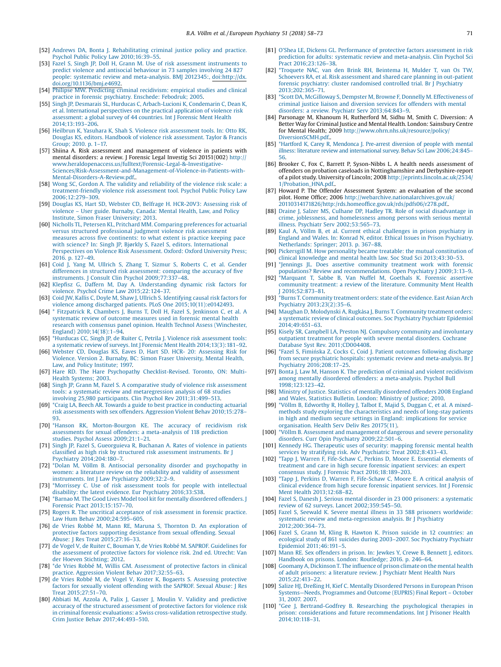- <span id="page-13-0"></span>[52] Andrews DA, Bonta J. [Rehabilitating](http://refhub.elsevier.com/S0924-9338(17)33024-9/sbref0260) criminal justice policy and practice. Psychol Public Policy Law [2010;16:39](http://refhub.elsevier.com/S0924-9338(17)33024-9/sbref0260)–55.
- [53] Fazel S, Singh JP, Doll H, Grann M. Use of risk assessment [instruments](http://refhub.elsevier.com/S0924-9338(17)33024-9/sbref0265) to predict violence and antisocial [behaviour](http://refhub.elsevier.com/S0924-9338(17)33024-9/sbref0265) in 73 samples involving 24 827 people: systematic review and [meta-analysis.](http://refhub.elsevier.com/S0924-9338(17)33024-9/sbref0265) BMJ 2012345:, doi:http://dx. [doi.org/10.1136/bmj.e4692](http://dx.doi.org/10.1136/bmj.e4692)[.](http://refhub.elsevier.com/S0924-9338(17)33024-9/sbref0265)
- [54] Philipse MW. Predicting criminal [recidivism:](http://refhub.elsevier.com/S0924-9338(17)33024-9/sbref0270) empirical studies and clinical practice in forensic [psychiatry.](http://refhub.elsevier.com/S0924-9338(17)33024-9/sbref0270) Enschede: Febodruk; 2005.
- [55] Singh JP, Desmarais SL, Hurducas C, [Arbach-Lucioni](http://refhub.elsevier.com/S0924-9338(17)33024-9/sbref0275) K, Condemarin C, Dean K, et al. [International](http://refhub.elsevier.com/S0924-9338(17)33024-9/sbref0275) perspectives on the practical application of violence risk [assessment:](http://refhub.elsevier.com/S0924-9338(17)33024-9/sbref0275) a global survey of 44 countries. Int J Forensic Ment Health [2014;13:193](http://refhub.elsevier.com/S0924-9338(17)33024-9/sbref0275)–206.
- [56] Heilbrun K, Yasuhara K, Shah S. Violence risk [assessment](http://refhub.elsevier.com/S0924-9338(17)33024-9/sbref0280) tools. In: Otto RK, Douglas KS, editors. Handbook of violence risk [assessment.](http://refhub.elsevier.com/S0924-9338(17)33024-9/sbref0280) Taylor & Francis [Group;](http://refhub.elsevier.com/S0924-9338(17)33024-9/sbref0280) 2010. p. 1–17.
- [57] Shiina A. Risk assessment and management of violence in patients with mental disorders: a review. J Forensic Legal Investig Sci 20151(002) [http://](http://www.heraldopenaccess.us/fulltext/Forensic-Legal-%26-Investigative-Sciences/Risk-Assessment-and-Management-of-Violence-in-Patients-with-Mental-Disorders-A-Review.pdf) [www.heraldopenaccess.us/fulltext/Forensic-Legal-&-Investigative-](http://www.heraldopenaccess.us/fulltext/Forensic-Legal-%26-Investigative-Sciences/Risk-Assessment-and-Management-of-Violence-in-Patients-with-Mental-Disorders-A-Review.pdf)[Sciences/Risk-Assessment-and-Management-of-Violence-in-Patients-with-](http://www.heraldopenaccess.us/fulltext/Forensic-Legal-%26-Investigative-Sciences/Risk-Assessment-and-Management-of-Violence-in-Patients-with-Mental-Disorders-A-Review.pdf)[Mental-Disorders-A-Review.pdf](http://www.heraldopenaccess.us/fulltext/Forensic-Legal-%26-Investigative-Sciences/Risk-Assessment-and-Management-of-Violence-in-Patients-with-Mental-Disorders-A-Review.pdf)..
- [58] Wong SC, Gordon A. The validity and [reliability](http://refhub.elsevier.com/S0924-9338(17)33024-9/sbref0290) of the violence risk scale: a [treatment-friendly](http://refhub.elsevier.com/S0924-9338(17)33024-9/sbref0290) violence risk assessment tool. Psychol Public Policy Law [2006;12:279](http://refhub.elsevier.com/S0924-9338(17)33024-9/sbref0290)–309.
- [59] Douglas KS, Hart SD, Webster CD, Belfrage H. [HCR-20V3:](http://refhub.elsevier.com/S0924-9338(17)33024-9/sbref0295) Assessing risk of violence – User guide. [Burnaby,](http://refhub.elsevier.com/S0924-9338(17)33024-9/sbref0295) Canada: Mental Health, Law, and Policy Institute, Simon Fraser [University;](http://refhub.elsevier.com/S0924-9338(17)33024-9/sbref0295) 2013.
- [60] Nicholls TL, Petersen KL, Pritchard MM. Comparing [preferences](http://refhub.elsevier.com/S0924-9338(17)33024-9/sbref0300) for actuarial versus structured [professional](http://refhub.elsevier.com/S0924-9338(17)33024-9/sbref0300) judgment violence risk assessment measures across five [continents:](http://refhub.elsevier.com/S0924-9338(17)33024-9/sbref0300) to what extent is practice keeping pace with science? In: Singh JP, Bjørkly S, Fazel S, editors. [International](http://refhub.elsevier.com/S0924-9338(17)33024-9/sbref0300) [Perspectives](http://refhub.elsevier.com/S0924-9338(17)33024-9/sbref0300) on Violence Risk Assessment. Oxford: Oxford University Press; [2016.](http://refhub.elsevier.com/S0924-9338(17)33024-9/sbref0300) p. 127–49.
- [61] Coid J, Yang M, Ullrich S, Zhang T, Sizmur S, [Roberts](http://refhub.elsevier.com/S0924-9338(17)33024-9/sbref0305) C, et al. Gender differences in structured risk [assessment:](http://refhub.elsevier.com/S0924-9338(17)33024-9/sbref0305) comparing the accuracy of five [instruments.](http://refhub.elsevier.com/S0924-9338(17)33024-9/sbref0305) J Consult Clin Psychol 2009;77:337–48.
- [62] Klepfisz G, Daffern M, Day A. [Understanding](http://refhub.elsevier.com/S0924-9338(17)33024-9/sbref0310) dynamic risk factors for violence. Psychol Crime Law [2015;22:124](http://refhub.elsevier.com/S0924-9338(17)33024-9/sbref0310)–37.
- [63] Coid JW, Kallis C, Doyle M, Shaw J, Ullrich S. [Identifying](http://refhub.elsevier.com/S0924-9338(17)33024-9/sbref0315) causal risk factors for violence among discharged patients. PLoS One [2015;10\(11\):e0142493](http://refhub.elsevier.com/S0924-9338(17)33024-9/sbref0315).
- [64] \* [Fitzpatrick](http://refhub.elsevier.com/S0924-9338(17)33024-9/sbref0320) R, Chambers J, Burns T, Doll H, Fazel S, Jenkinson C, et al. A [systematic](http://refhub.elsevier.com/S0924-9338(17)33024-9/sbref0320) review of outcome measures used in forensic mental health research with consensus panel opinion. Health Technol Assess [\(Winchester,](http://refhub.elsevier.com/S0924-9338(17)33024-9/sbref0320) England) [2010;14\(18\):1](http://refhub.elsevier.com/S0924-9338(17)33024-9/sbref0320)–94.
- [65] \*Hurducas CC, Singh JP, de Ruiter C, Petrila J. Violence risk [assessment](http://refhub.elsevier.com/S0924-9338(17)33024-9/sbref0325) tools: a systematic review of surveys. Int J Forensic Ment Health [2014;13\(3\):181](http://refhub.elsevier.com/S0924-9338(17)33024-9/sbref0325)–92.
- [66] Webster CD, Douglas KS, Eaves D, Hart SD. HCR- 20: [Assessing](http://refhub.elsevier.com/S0924-9338(17)33024-9/sbref0330) Risk for Violence. Version 2. Burnaby, BC: Simon Fraser [University,](http://refhub.elsevier.com/S0924-9338(17)33024-9/sbref0330) Mental Health, Law, and Policy [Institute;](http://refhub.elsevier.com/S0924-9338(17)33024-9/sbref0330) 1997.
- [67] Hare RD. The Hare Psychopathy [Checklist-Revised.](http://refhub.elsevier.com/S0924-9338(17)33024-9/sbref0335) Toronto, ON: Multi-Health [Systems;](http://refhub.elsevier.com/S0924-9338(17)33024-9/sbref0335) 2003.
- [68] Singh JP, Grann M, Fazel S. A [comparative](http://refhub.elsevier.com/S0924-9338(17)33024-9/sbref0340) study of violence risk assessment tools: a systematic review and [metaregression](http://refhub.elsevier.com/S0924-9338(17)33024-9/sbref0340) analysis of 68 studies involving 25,980 [participants.](http://refhub.elsevier.com/S0924-9338(17)33024-9/sbref0340) Clin Psychol Rev 2011;31:499–513.
- [69] \*Craig LA, Beech AR. Towards a guide to best practice in [conducting](http://refhub.elsevier.com/S0924-9338(17)33024-9/sbref0345) actuarial risk assessments with sex offenders. Aggression Violent Behav [2010;15:278](http://refhub.elsevier.com/S0924-9338(17)33024-9/sbref0345)– [93](http://refhub.elsevier.com/S0924-9338(17)33024-9/sbref0345).
- [70] \*Hanson RK, [Morton-Bourgon](http://refhub.elsevier.com/S0924-9338(17)33024-9/sbref0350) KE. The accuracy of recidivism risk assessments for sexual offenders: a [meta-analysis](http://refhub.elsevier.com/S0924-9338(17)33024-9/sbref0350) of 118 prediction studies. Psychol Assess [2009;21:1](http://refhub.elsevier.com/S0924-9338(17)33024-9/sbref0350)–21.
- [71] Singh JP, Fazel S, [Gueorguieva](http://refhub.elsevier.com/S0924-9338(17)33024-9/sbref0355) R, Buchanan A. Rates of violence in patients classified as high risk by structured risk assessment [instruments.](http://refhub.elsevier.com/S0924-9338(17)33024-9/sbref0355) Br J Psychiatry [2014;204:180](http://refhub.elsevier.com/S0924-9338(17)33024-9/sbref0355)–7.
- [72] \*Dolan M, Völlm B. Antisocial personality disorder and [psychopathy](http://refhub.elsevier.com/S0924-9338(17)33024-9/sbref0360) in women: a literature review on the reliability and validity of [assessment](http://refhub.elsevier.com/S0924-9338(17)33024-9/sbref0360) [instruments.](http://refhub.elsevier.com/S0924-9338(17)33024-9/sbref0360) Int J Law Psychiatry 2009;32:2–9.
- [73] \*Morrissey C. Use of risk [assessment](http://refhub.elsevier.com/S0924-9338(17)33024-9/sbref0365) tools for people with intellectual disability: the latest evidence. Eur Psychiatry [2016;33:S38.](http://refhub.elsevier.com/S0924-9338(17)33024-9/sbref0365)
- [74] \*Barnao M. The Good Lives Model tool kit for mentally [disordered](http://refhub.elsevier.com/S0924-9338(17)33024-9/sbref0370) offenders. ] Forensic Pract [2013;15:157](http://refhub.elsevier.com/S0924-9338(17)33024-9/sbref0370)–70.
- [75] Rogers R. The uncritical acceptance of risk [assessment](http://refhub.elsevier.com/S0924-9338(17)33024-9/sbref0375) in forensic practice. Law Hum Behav [2000;24:595](http://refhub.elsevier.com/S0924-9338(17)33024-9/sbref0375)–605.
- [76] de Vries Robbé M, Mann RE, Maruna S, Thornton D. An [exploration](http://refhub.elsevier.com/S0924-9338(17)33024-9/sbref0380) of protective factors [supporting](http://refhub.elsevier.com/S0924-9338(17)33024-9/sbref0380) desistance from sexual offending. Sexual Abuse: J Res Treat [2015;27:16](http://refhub.elsevier.com/S0924-9338(17)33024-9/sbref0380)–33.
- [77] de Vogel V, de Ruiter C, Bouman Y, de Vries Robbé M. SAPROF. [Guidelines](http://refhub.elsevier.com/S0924-9338(17)33024-9/sbref0385) for the [assessment](http://refhub.elsevier.com/S0924-9338(17)33024-9/sbref0385) of protective factors for violence risk. 2nd ed. Utrecht: Van der Hoeven [Stichting;](http://refhub.elsevier.com/S0924-9338(17)33024-9/sbref0385) 2012.
- [78] \*de Vries Robbé M, Willis GM. [Assessment](http://refhub.elsevier.com/S0924-9338(17)33024-9/sbref0390) of protective factors in clinical practice. Aggression Violent Behav [2017;32:55](http://refhub.elsevier.com/S0924-9338(17)33024-9/sbref0390)–63.
- [79] de Vries Robbé M, de Vogel V, Koster K, Bogaerts S. Assessing [protective](http://refhub.elsevier.com/S0924-9338(17)33024-9/sbref0395) factors for sexually violent [offending](http://refhub.elsevier.com/S0924-9338(17)33024-9/sbref0395) with the SAPROF. Sexual Abuse: J Res Treat [2015;27:51](http://refhub.elsevier.com/S0924-9338(17)33024-9/sbref0395)–70.
- [80] Abbiati M, Azzola A, Palix J, Gasser J, Moulin V. Validity and [predictive](http://refhub.elsevier.com/S0924-9338(17)33024-9/sbref0400) accuracy of the structured [assessment](http://refhub.elsevier.com/S0924-9338(17)33024-9/sbref0400) of protective factors for violence risk in criminal forensic evaluations: a Swiss [cross-validation](http://refhub.elsevier.com/S0924-9338(17)33024-9/sbref0400) retrospective study. Crim Justice Behav [2017;44:493](http://refhub.elsevier.com/S0924-9338(17)33024-9/sbref0400)–510.
- [81] O'Shea LE, Dickens GL. [Performance](http://refhub.elsevier.com/S0924-9338(17)33024-9/sbref0405) of protective factors assessment in risk prediction for adults: systematic review and [meta-analysis.](http://refhub.elsevier.com/S0924-9338(17)33024-9/sbref0405) Clin Psychol Sci Pract [2016;23:126](http://refhub.elsevier.com/S0924-9338(17)33024-9/sbref0405)–38.
- [82] [\\*Troquete](http://refhub.elsevier.com/S0924-9338(17)33024-9/sbref0410) NAC, van den Brink RH, Beintema H, Mulder T, van Os TW, Schoevers RA, et al. Risk [assessment](http://refhub.elsevier.com/S0924-9338(17)33024-9/sbref0410) and shared care planning in out-patient forensic psychiatry: cluster [randomised](http://refhub.elsevier.com/S0924-9338(17)33024-9/sbref0410) controlled trial. Br J Psychiatry [2013;202:365](http://refhub.elsevier.com/S0924-9338(17)33024-9/sbref0410)–71.
- [83] \*Scott DA, McGilloway S, Dempster M, Browne F, Donnelly M. [Effectiveness](http://refhub.elsevier.com/S0924-9338(17)33024-9/sbref0415) of criminal justice liaison and diversion services for [offenders](http://refhub.elsevier.com/S0924-9338(17)33024-9/sbref0415) with mental disorders: a review. Psychiatr Serv [2013;64:843](http://refhub.elsevier.com/S0924-9338(17)33024-9/sbref0415)–9.
- [84] Parsonage M, Khanoum H, Rutherford M, Sidhu M, Smith C. Diversion: A Better Way for Criminal Justice and Mental Health. London: Sainsbury Centre for Mental Health; 2009 [http://www.ohrn.nhs.uk/resource/policy/](http://www.ohrn.nhs.uk/resource/policy/DiversionSCMH.pdf) [DiversionSCMH.pdf.](http://www.ohrn.nhs.uk/resource/policy/DiversionSCMH.pdf).
- [85] \*Hartford K, Carey R, [Mendonca](http://refhub.elsevier.com/S0924-9338(17)33024-9/sbref0425) J. Pre-arrest diversion of people with mental illness: literature review and international survey. Behav Sci Law [2006;24:845](http://refhub.elsevier.com/S0924-9338(17)33024-9/sbref0425)–
- [56](http://refhub.elsevier.com/S0924-9338(17)33024-9/sbref0425). [86] Brooker C, Fox C, Barrett P, Syson-Nibbs L. A health needs assessment of offenders on probation caseloads in Nottinghamshire and Derbyshire-report of a pilot study. University of Lincoln; 2008 [http://eprints.lincoln.ac.uk/2534/](http://eprints.lincoln.ac.uk/2534/1/Probation_HNA.pdf) [1/Probation\\_HNA.pdf](http://eprints.lincoln.ac.uk/2534/1/Probation_HNA.pdf)..
- [87] Howard P. The Offender Assessment System: an evaluation of the second pilot. Home Office; 2006 [http://webarchive.nationalarchives.gov.uk/](http://webarchive.nationalarchives.gov.uk/20110314171826/http:/rds.homeoffice.gov.uk/rds/pdfs06/r278.pdf) [20110314171826/http:/rds.homeof](http://webarchive.nationalarchives.gov.uk/20110314171826/http:/rds.homeoffice.gov.uk/rds/pdfs06/r278.pdf)fice.gov.uk/rds/pdfs06/r278.pdf..
- [88] Draine J, Salzer MS, Culhane DP, Hadley TR. Role of social [disadvantage](http://refhub.elsevier.com/S0924-9338(17)33024-9/sbref0440) in crime, joblessness, and [homelessness](http://refhub.elsevier.com/S0924-9338(17)33024-9/sbref0440) among persons with serious mental illness. Psychiatr Serv [2002;53:565](http://refhub.elsevier.com/S0924-9338(17)33024-9/sbref0440)–73.
- [89] Kaul A, Völlm B, et al. Current ethical [challenges](http://refhub.elsevier.com/S0924-9338(17)33024-9/sbref0445) in prison psychiatry in England and Wales. In: Konrad N, editor. Ethical Issues in Prison [Psychiatry.](http://refhub.elsevier.com/S0924-9338(17)33024-9/sbref0445) [Netherlands:](http://refhub.elsevier.com/S0924-9338(17)33024-9/sbref0445) Springer; 2013. p. 367–88.
- [90] Pickersgill M. How personality became treatable: the mutual [constitution](http://refhub.elsevier.com/S0924-9338(17)33024-9/sbref0450) of clinical knowledge and mental health law. Soc Stud Sci [2013;43:30](http://refhub.elsevier.com/S0924-9338(17)33024-9/sbref0450)–53.
- [91] \*Jennings JL. Does assertive [community](http://refhub.elsevier.com/S0924-9338(17)33024-9/sbref0455) treatment work with forensic populations? Review and [recommendations.](http://refhub.elsevier.com/S0924-9338(17)33024-9/sbref0455) Open Psychiatry J 2009;3:13–9.
- [92] [\\*Marquant](http://refhub.elsevier.com/S0924-9338(17)33024-9/sbref0460) T, Sabbe B, Van Nuffel M, Goethals K. Forensic assertive community treatment: a review of the literature. [Community](http://refhub.elsevier.com/S0924-9338(17)33024-9/sbref0460) Ment Health J [2016;52:873](http://refhub.elsevier.com/S0924-9338(17)33024-9/sbref0460)–81.
- [93] \*Burns T. [Community](http://refhub.elsevier.com/S0924-9338(17)33024-9/sbref0465) treatment orders: state of the evidence. East Asian Arch Psychiatry [2013;23\(2\):35](http://refhub.elsevier.com/S0924-9338(17)33024-9/sbref0465)–6.
- [94] Maughan D, Molodynski A, Rugkåsa J, Burns T. [Community](http://refhub.elsevier.com/S0924-9338(17)33024-9/sbref0470) treatment orders: a [systematic](http://refhub.elsevier.com/S0924-9338(17)33024-9/sbref0470) review of clinical outcomes. Soc Psychiatry Psychiatr Epidemiol [2014;49:651](http://refhub.elsevier.com/S0924-9338(17)33024-9/sbref0470)–63.
- [95] Kisely SR, Campbell LA, Preston NJ. [Compulsory](http://refhub.elsevier.com/S0924-9338(17)33024-9/sbref0475) community and involuntary [outpatient](http://refhub.elsevier.com/S0924-9338(17)33024-9/sbref0475) treatment for people with severe mental disorders. Cochrane Database Syst Rev. [2011;CD004408.](http://refhub.elsevier.com/S0924-9338(17)33024-9/sbref0475)
- [96] \*Fazel S, Fimińska Z, Cocks C, Coid J. Patient [outcomes](http://refhub.elsevier.com/S0924-9338(17)33024-9/sbref0480) following discharge from secure psychiatric hospitals: systematic review and [meta-analysis.](http://refhub.elsevier.com/S0924-9338(17)33024-9/sbref0480) Br J Psychiatry [2016;208:17](http://refhub.elsevier.com/S0924-9338(17)33024-9/sbref0480)–25.
- [97] Bonta J, Law M, Hanson K, The prediction of criminal and violent [recidivism](http://refhub.elsevier.com/S0924-9338(17)33024-9/sbref0485) among mentally disordered offenders: a [meta-analysis.](http://refhub.elsevier.com/S0924-9338(17)33024-9/sbref0485) Psychol Bull [1998;123:123](http://refhub.elsevier.com/S0924-9338(17)33024-9/sbref0485)–42.
- [98] Ministry of Justice. Statistics of mentally [disordered](http://refhub.elsevier.com/S0924-9338(17)33024-9/sbref0490) offenders 2008 England and Wales, [Statistics](http://refhub.elsevier.com/S0924-9338(17)33024-9/sbref0490) Bulletin. London: Ministry of Justice; 2010.
- [99] \*Völlm B, [Edworthy](http://refhub.elsevier.com/S0924-9338(17)33024-9/sbref0495) R, Holley J, Talbot E, Majid S, Duggan C, et al. A mixedmethods study exploring the [characteristics](http://refhub.elsevier.com/S0924-9338(17)33024-9/sbref0495) and needs of long-stay patients in high and medium secure settings in England: [implications](http://refhub.elsevier.com/S0924-9338(17)33024-9/sbref0495) for service [organisation.](http://refhub.elsevier.com/S0924-9338(17)33024-9/sbref0495) Health Serv Deliv Res 20175(11).
- [100] \*Völlm B. Assessment and [management](http://refhub.elsevier.com/S0924-9338(17)33024-9/sbref0500) of dangerous and severe personality disorders. Curr Opin Psychiatry [2009;22:501](http://refhub.elsevier.com/S0924-9338(17)33024-9/sbref0500)–6.
- [101] Kennedy HG. [Therapeutic](http://refhub.elsevier.com/S0924-9338(17)33024-9/sbref0505) uses of security: mapping forensic mental health services by stratifying risk. Adv Psychiatric Treat [2002;8:433](http://refhub.elsevier.com/S0924-9338(17)33024-9/sbref0505)–43.
- [102] \*Tapp J, Warren F, [Fife-Schaw](http://refhub.elsevier.com/S0924-9338(17)33024-9/sbref0510) C, Perkins D, Moore E. Essential elements of [treatment](http://refhub.elsevier.com/S0924-9338(17)33024-9/sbref0510) and care in high secure forensic inpatient services: an expert consensus study. J Forensic Pract [2016;18:189](http://refhub.elsevier.com/S0924-9338(17)33024-9/sbref0510)–203.
- [103] \*Tapp J, Perkins D, Warren F, [Fife-Schaw](http://refhub.elsevier.com/S0924-9338(17)33024-9/sbref0515) C, Moore E. A critical analysis of clinical evidence from high secure forensic [inpatient](http://refhub.elsevier.com/S0924-9338(17)33024-9/sbref0515) services. Int J Forensic Ment Health [2013;12:68](http://refhub.elsevier.com/S0924-9338(17)33024-9/sbref0515)–82.
- [104] Fazel S, Danesh J. Serious mental disorder in 23 000 prisoners: a [systematic](http://refhub.elsevier.com/S0924-9338(17)33024-9/sbref0520) review of 62 surveys. Lancet [2002;359:545](http://refhub.elsevier.com/S0924-9338(17)33024-9/sbref0520)–50.
- [105] Fazel S, Seewald K. Severe mental illness in 33 588 prisoners [worldwide:](http://refhub.elsevier.com/S0924-9338(17)33024-9/sbref0525) systematic review and [meta-regression](http://refhub.elsevier.com/S0924-9338(17)33024-9/sbref0525) analysis. Br J Psychiatry [2012;200:364](http://refhub.elsevier.com/S0924-9338(17)33024-9/sbref0525)–73.
- [106] Fazel S, Grann M, Kling B, Hawton K. Prison suicide in 12 [countries:](http://refhub.elsevier.com/S0924-9338(17)33024-9/sbref0530) an ecological study of 861 suicides during 2003–2007. Soc [Psychiatry](http://refhub.elsevier.com/S0924-9338(17)33024-9/sbref0530) Psychiatr Epidemiol [2011;46:191](http://refhub.elsevier.com/S0924-9338(17)33024-9/sbref0530)–5.
- [107] Mann RE. Sex [offenders](http://refhub.elsevier.com/S0924-9338(17)33024-9/sbref0535) in prison. In: Jewkes Y, Crewe B, Bennett J, editors. Handbook on prisons. London: [Routledge;](http://refhub.elsevier.com/S0924-9338(17)33024-9/sbref0535) 2016. p. 246–64.
- [108] Goomany A, [Dickinson](http://refhub.elsevier.com/S0924-9338(17)33024-9/sbref0540) T. The influence of prison climate on the mental health of adult [prisoners:](http://refhub.elsevier.com/S0924-9338(17)33024-9/sbref0540) a literature review. J Psychiatr Ment Health Nurs [2015;22:413](http://refhub.elsevier.com/S0924-9338(17)33024-9/sbref0540)–22.
- [109] Salize HJ, Dreßing H, Kief C. Mentally [Disordered](http://refhub.elsevier.com/S0924-9338(17)33024-9/sbref0545) Persons in European Prison Systems—Needs, [Programmes](http://refhub.elsevier.com/S0924-9338(17)33024-9/sbref0545) and Outcome (EUPRIS) Final Report – October 31, [2007.](http://refhub.elsevier.com/S0924-9338(17)33024-9/sbref0545) 2007.
- [110] \*Gee J, [Bertrand-Godfrey](http://refhub.elsevier.com/S0924-9338(17)33024-9/sbref0550) B. Researching the psychological therapies in prison: considerations and future [recommendations.](http://refhub.elsevier.com/S0924-9338(17)33024-9/sbref0550) Int J Prisoner Health [2014;10:118](http://refhub.elsevier.com/S0924-9338(17)33024-9/sbref0550)–31.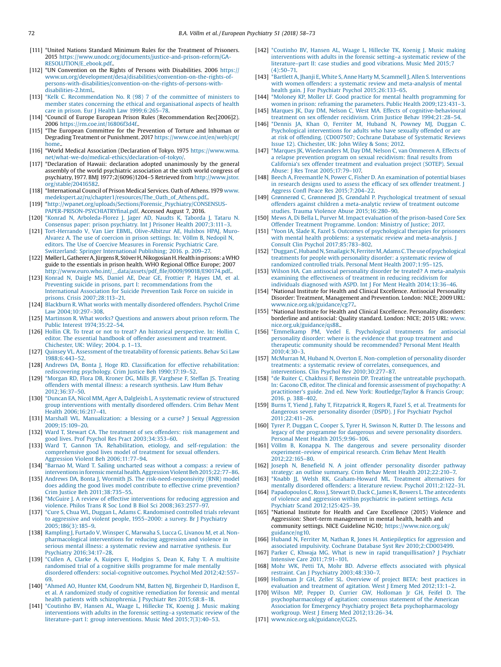- <span id="page-14-0"></span>[111] \*United Nations Standard Minimum Rules for the Treatment of Prisoners. 2015 [https://www.unodc.org/documents/justice-and-prison-reform/GA-](https://www.unodc.org/documents/justice-and-prison-reform/GA-RESOLUTION/E_ebook.pdf)[RESOLUTION/E\\_ebook.pdf.](https://www.unodc.org/documents/justice-and-prison-reform/GA-RESOLUTION/E_ebook.pdf).
- [112] \*UN Convention on the Rights of Persons with Disabilities. 2006 [https://](https://www.un.org/development/desa/disabilities/convention-on-the-rights-of-persons-with-disabilities/convention-on-the-rights-of-persons-with-disabilities-2.html) [www.un.org/development/desa/disabilities/convention-on-the-rights-of](https://www.un.org/development/desa/disabilities/convention-on-the-rights-of-persons-with-disabilities/convention-on-the-rights-of-persons-with-disabilities-2.html)[persons-with-disabilities/convention-on-the-rights-of-persons-with](https://www.un.org/development/desa/disabilities/convention-on-the-rights-of-persons-with-disabilities/convention-on-the-rights-of-persons-with-disabilities-2.html)[disabilities-2.html](https://www.un.org/development/desa/disabilities/convention-on-the-rights-of-persons-with-disabilities/convention-on-the-rights-of-persons-with-disabilities-2.html)..
- [113] \*Kelk C. [Recommendation](http://refhub.elsevier.com/S0924-9338(17)33024-9/sbref0565) No. R (98) 7 of the committee of ministers to member states concerning the ethical and [organisational](http://refhub.elsevier.com/S0924-9338(17)33024-9/sbref0565) aspects of health care in prison. Eur J Health Law [1999;6:265](http://refhub.elsevier.com/S0924-9338(17)33024-9/sbref0565)–78.
- [114] \*Council of Europe European Prison Rules (Recommendation Rec[2006]2). 2006 <https://rm.coe.int/16806f3d4f>..
- [115] \*The European Committee for the Prevention of Torture and Inhuman or Degrading Treatment or Punishment. 2017 [https://www.coe.int/en/web/cpt/](https://www.coe.int/en/web/cpt/home) [home](https://www.coe.int/en/web/cpt/home)..
- [116] \*World Medical Association (Declaration of Tokyo. 1975 [https://www.wma.](https://www.wma.net/what-we-do/medical-ethics/declaration-of-tokyo/) [net/what-we-do/medical-ethics/declaration-of-tokyo/.](https://www.wma.net/what-we-do/medical-ethics/declaration-of-tokyo/)
- [117] \*Declaration of Hawaii: declaration adopted unanimously by the general assembly of the world psychiatric association at the sixth world congress of psychiatry, 1977. BMJ 1977;2(6096)1204–5 Retrieved from [http://www.jstor.](http://www.jstor.org/stable/20416582) [org/stable/20416582.](http://www.jstor.org/stable/20416582)
- [118] \*International Council of Prison Medical Services. Oath of Athens. 1979 [www.](http://www.medekspert.az/ru/chapter1/resources/The_Oath_of_Athens.pdf) [medekspert.az/ru/chapter1/resources/The\\_Oath\\_of\\_Athens.pdf](http://www.medekspert.az/ru/chapter1/resources/The_Oath_of_Athens.pdf)..
- [119] [\\*http://wpanet.org/uploads/Sections/Forensic\\_Psychiatry/CONSENSUS-](http://wpanet.org/uploads/Sections/Forensic_Psychiatry/CONSENSUS-PAPER-PRISON-PSYCHIATRYfinal.pdf)[PAPER-PRISON-PSYCHIATRY](http://wpanet.org/uploads/Sections/Forensic_Psychiatry/CONSENSUS-PAPER-PRISON-PSYCHIATRYfinal.pdf)final.pdf. Accessed August 7, 2016.
- [120] \*Konrad N, [Arboleda-Florez](http://refhub.elsevier.com/S0924-9338(17)33024-9/sbref0600) J, Jager AD, Naudts K, Taborda J, Tataru N. Consensus paper: prison psychiatry. Int J Prisoner Health [2007;3:111](http://refhub.elsevier.com/S0924-9338(17)33024-9/sbref0600)–3.
- [121] [Tort-Herrando](http://refhub.elsevier.com/S0924-9338(17)33024-9/sbref0605) V, Van Lier EBML, Olive-Albitzur AE, Hulsbos HPAJ, Muro-Alvarez A. The use of [coercion](http://refhub.elsevier.com/S0924-9338(17)33024-9/sbref0605) in prison settings. In: Völlm B, Nedopil N, editors. The Use of Coercive Measures in Forensic [Psychiatric](http://refhub.elsevier.com/S0924-9338(17)33024-9/sbref0605) Care. Switzerland: Springer [International](http://refhub.elsevier.com/S0924-9338(17)33024-9/sbref0605) Publishing; 2016. p. 209–27.
- [122] Møller L, Gatherer A, Jürgens R, Stöver H, Nikogosian H. Health in prisons: a WHO guide to the essentials in prison health. WHO Regional Office Europe; 2007 [http://www.euro.who.int/\\_\\_data/assets/pdf\\_](http://www.euro.who.int/__data/assets/pdf_file/0009/99018/E90174.pdf)file/0009/99018/E90174.pdf..
- [123] Konrad N, Daigle MS, Daniel AE, Dear GE, [Frottier](http://refhub.elsevier.com/S0924-9338(17)33024-9/sbref0615) P, Hayes LM, et al. Preventing suicide in prisons, part I: [recommendations](http://refhub.elsevier.com/S0924-9338(17)33024-9/sbref0615) from the [International](http://refhub.elsevier.com/S0924-9338(17)33024-9/sbref0615) Association for Suicide Prevention Task Force on suicide in prisons. Crisis [2007;28:113](http://refhub.elsevier.com/S0924-9338(17)33024-9/sbref0615)–21.
- [124] Blackburn R. What works with mentally [disordered](http://refhub.elsevier.com/S0924-9338(17)33024-9/sbref0620) offenders. Psychol Crime Law [2004;10:297](http://refhub.elsevier.com/S0924-9338(17)33024-9/sbref0620)–308.
- [125] [Martinson](http://refhub.elsevier.com/S0924-9338(17)33024-9/sbref0625) R. What works? Questions and answers about prison reform. The Public Interest [1974;35:22](http://refhub.elsevier.com/S0924-9338(17)33024-9/sbref0625)–54.
- [126] Hollin CR. To treat or not to treat? An historical [perspective.](http://refhub.elsevier.com/S0924-9338(17)33024-9/sbref0630) In: Hollin C, editor. The essential handbook of offender [assessment](http://refhub.elsevier.com/S0924-9338(17)33024-9/sbref0630) and treatment. [Chichester,](http://refhub.elsevier.com/S0924-9338(17)33024-9/sbref0630) UK: Wiley; 2004. p. 1–13.
- [127] Quinsey VL. [Assessment](http://refhub.elsevier.com/S0924-9338(17)33024-9/sbref0635) of the treatability of forensic patients. Behav Sci Law [1988;6:443](http://refhub.elsevier.com/S0924-9338(17)33024-9/sbref0635)–52.
- [128] Andrews DA, Bonta J, Hoge RD. Classification for effective [rehabilitation:](http://refhub.elsevier.com/S0924-9338(17)33024-9/sbref0640) [rediscovering](http://refhub.elsevier.com/S0924-9338(17)33024-9/sbref0640) psychology. Crim Justice Beh 1990;17:19–52.
- [129] \*Morgan RD, Flora DB, Kroner DG, Mills JF, [Varghese](http://refhub.elsevier.com/S0924-9338(17)33024-9/sbref0645) F, Steffan JS. Treating offenders with mental illness: a research [synthesis.](http://refhub.elsevier.com/S0924-9338(17)33024-9/sbref0645) Law Hum Behav [2012;36:37](http://refhub.elsevier.com/S0924-9338(17)33024-9/sbref0645)–50.
- [130] \*Duncan EA, Nicol MM, Ager A, Dalgleish L. A [systematic](http://refhub.elsevier.com/S0924-9338(17)33024-9/sbref0650) review of structured group [interventions](http://refhub.elsevier.com/S0924-9338(17)33024-9/sbref0650) with mentally disordered offenders. Crim Behav Ment Health [2006;16:217](http://refhub.elsevier.com/S0924-9338(17)33024-9/sbref0650)–41.
- [131] Marshall WL. [Manualization:](http://refhub.elsevier.com/S0924-9338(17)33024-9/sbref0655) a blessing or a curse? J Sexual Aggression [2009;15:109](http://refhub.elsevier.com/S0924-9338(17)33024-9/sbref0655)–20.
- [132] Ward T, Stewart CA. The treatment of sex offenders: risk [management](http://refhub.elsevier.com/S0924-9338(17)33024-9/sbref0660) and good lives. Prof Psychol Res Pract [2003;34:353](http://refhub.elsevier.com/S0924-9338(17)33024-9/sbref0660)–60.
- [133] Ward T, Gannon TA. Rehabilitation, etiology, and [self-regulation:](http://refhub.elsevier.com/S0924-9338(17)33024-9/sbref0665) the [comprehensive](http://refhub.elsevier.com/S0924-9338(17)33024-9/sbref0665) good lives model of treatment for sexual offenders. Aggression Violent Beh [2006;11:77](http://refhub.elsevier.com/S0924-9338(17)33024-9/sbref0665)–94.
- [134] \*Barnao M, Ward T. Sailing [uncharted](http://refhub.elsevier.com/S0924-9338(17)33024-9/sbref0670) seas without a compass: a review of interventions in forensic mental health. Aggression Violent Beh 2015;22:77-86.
- [135] Andrews DA, Bonta J, Wormith JS. The [risk-need-responsivity](http://refhub.elsevier.com/S0924-9338(17)33024-9/sbref0675) (RNR) model does adding the good lives model contribute to effective crime [prevention?](http://refhub.elsevier.com/S0924-9338(17)33024-9/sbref0675) Crim Justice Beh [2011;38:735](http://refhub.elsevier.com/S0924-9338(17)33024-9/sbref0675)–55.
- [136] \*McGuire J. A review of effective [interventions](http://refhub.elsevier.com/S0924-9338(17)33024-9/sbref0680) for reducing aggression and violence. Philos Trans R Soc Lond B Biol Sci [2008;363:2577](http://refhub.elsevier.com/S0924-9338(17)33024-9/sbref0680)–97.
- [137] \*Cure S, Chua WL, Duggan L, Adams C. [Randomised](http://refhub.elsevier.com/S0924-9338(17)33024-9/sbref0685) controlled trials relevant to [aggressive](http://refhub.elsevier.com/S0924-9338(17)33024-9/sbref0685) and violent people, 1955–2000: a survey. Br J Psychiatry [2005;186\(3\):185](http://refhub.elsevier.com/S0924-9338(17)33024-9/sbref0685)–9.
- [138] [Rampling](http://refhub.elsevier.com/S0924-9338(17)33024-9/sbref0690) J, Furtado V, Winsper C, Marwaha S, Lucca G, Livanou M, et al. Non[pharmacological](http://refhub.elsevier.com/S0924-9338(17)33024-9/sbref0690) interventions for reducing aggression and violence in serious mental illness: a [systematic](http://refhub.elsevier.com/S0924-9338(17)33024-9/sbref0690) review and narrative synthesis. Eur Psychiatry [2016;34:17](http://refhub.elsevier.com/S0924-9338(17)33024-9/sbref0690)–28.
- [139] \*Cullen A, Clarke A, Kuipers E, Hodgins S, Dean K, Fahy T. A [multisite](http://refhub.elsevier.com/S0924-9338(17)33024-9/sbref0695) [randomised](http://refhub.elsevier.com/S0924-9338(17)33024-9/sbref0695) trial of a cognitive skills programme for male mentally disordered offenders: [social-cognitive](http://refhub.elsevier.com/S0924-9338(17)33024-9/sbref0695) outcomes. Psychol Med 2012;42:557– [69](http://refhub.elsevier.com/S0924-9338(17)33024-9/sbref0695).
- [140] \*Ahmed AO, Hunter KM, Goodrum NM, Batten NJ, [Birgenheir](http://refhub.elsevier.com/S0924-9338(17)33024-9/sbref0700) D, Hardison E, et al. A randomized study of cognitive [remediation](http://refhub.elsevier.com/S0924-9338(17)33024-9/sbref0700) for forensic and mental health patients with [schizophrenia.](http://refhub.elsevier.com/S0924-9338(17)33024-9/sbref0700) J Psychiatr Res 2015;68:8–18.
- [141] [\\*Coutinho](http://refhub.elsevier.com/S0924-9338(17)33024-9/sbref0705) BV, Hansen AL, Waage L, Hillecke TK, Koenig J. Music making [interventions](http://refhub.elsevier.com/S0924-9338(17)33024-9/sbref0705) with adults in the forensic setting–a systematic review of the literature–part I: group [interventions.](http://refhub.elsevier.com/S0924-9338(17)33024-9/sbref0705) Music Med 2015;7(3):40–53.
- [142] [\\*Coutinho](http://refhub.elsevier.com/S0924-9338(17)33024-9/sbref0710) BV, Hansen AL, Waage L, Hillecke TK, Koenig J. Music making [interventions](http://refhub.elsevier.com/S0924-9338(17)33024-9/sbref0710) with adults in the forensic setting–a systematic review of the literature–part II: case studies and good [vibrations.](http://refhub.elsevier.com/S0924-9338(17)33024-9/sbref0710) Music Med 2015;7  $(4) \cdot 50 - 71$
- [143] \*Bartlett A, Jhanji E, White S, Anne Harty M, Scammell J, Allen S. [Interventions](http://refhub.elsevier.com/S0924-9338(17)33024-9/sbref0715) with women offenders: a systematic review and [meta-analysis](http://refhub.elsevier.com/S0924-9338(17)33024-9/sbref0715) of mental health gain. J For Psychiatr Psychol [2015;26:133](http://refhub.elsevier.com/S0924-9338(17)33024-9/sbref0715)–65.
- [144] \*Moloney KP, Moller LF. Good practice for mental health [programming](http://refhub.elsevier.com/S0924-9338(17)33024-9/sbref0720) for women in prison: reframing the parameters. Public Health [2009;123:431](http://refhub.elsevier.com/S0924-9338(17)33024-9/sbref0720)–3. [145] Marques JK, Day DM, Nelson C, West MA. Effects of [cognitive-behavioural](http://refhub.elsevier.com/S0924-9338(17)33024-9/sbref0725)
- treatment on sex offender recidivism. Crim Justice Behav [1994;21:28](http://refhub.elsevier.com/S0924-9338(17)33024-9/sbref0725)–54. [146] \*Dennis JA, Khan O, Ferriter M, Huband N, [Powney](http://refhub.elsevier.com/S0924-9338(17)33024-9/sbref0730) MJ, Duggan C.
- Psychological [interventions](http://refhub.elsevier.com/S0924-9338(17)33024-9/sbref0730) for adults who have sexually offended or are at risk of offending. [\(CD007507;](http://refhub.elsevier.com/S0924-9338(17)33024-9/sbref0730) Cochrane Database of Systematic Reviews Issue 12). [Chichester,](http://refhub.elsevier.com/S0924-9338(17)33024-9/sbref0730) UK: John Wiley & Sons; 2012.
- [147] \*Marques JK, [Wiederanders](http://refhub.elsevier.com/S0924-9338(17)33024-9/sbref0735) M, Day DM, Nelson C, van Ommeren A. Effects of a relapse prevention program on sexual [recidivism:](http://refhub.elsevier.com/S0924-9338(17)33024-9/sbref0735) final results from California's sex offender treatment and [evaluation](http://refhub.elsevier.com/S0924-9338(17)33024-9/sbref0735) project (SOTEP). Sexual Abuse: J Res Treat [2005;17:79](http://refhub.elsevier.com/S0924-9338(17)33024-9/sbref0735)–107.
- [148] Beech A, Freemantle N, Power C, Fisher D. An [examination](http://refhub.elsevier.com/S0924-9338(17)33024-9/sbref0740) of potential biases in research designs used to assess the efficacy of sex offender [treatment.](http://refhub.elsevier.com/S0924-9338(17)33024-9/sbref0740) J Aggress Confl Peace Res [2015;7:204](http://refhub.elsevier.com/S0924-9338(17)33024-9/sbref0740)–22.
- [149] Grønnerød C, Grønnerød JS, Grøndahl P. [Psychological](http://refhub.elsevier.com/S0924-9338(17)33024-9/sbref0745) treatment of sexual offenders against children a [meta-analytic](http://refhub.elsevier.com/S0924-9338(17)33024-9/sbref0745) review of treatment outcome studies. Trauma Violence Abuse [2015;16:280](http://refhub.elsevier.com/S0924-9338(17)33024-9/sbref0745)–90.
- [150] Mews A, Di Bella L, Purver M. Impact evaluation of the [prison-based](http://refhub.elsevier.com/S0924-9338(17)33024-9/sbref0750) Core Sex Offender Treatment [Programme.](http://refhub.elsevier.com/S0924-9338(17)33024-9/sbref0750) London: Ministry of Justice; 2017.
- [151] \*Yoon IA, Slade K, Fazel S. Outcomes of [psychological](http://refhub.elsevier.com/S0924-9338(17)33024-9/sbref0755) therapies for prisoners with mental health problems: a systematic review and [meta-analysis.](http://refhub.elsevier.com/S0924-9338(17)33024-9/sbref0755) J Consult Clin Psychol [2017;85:783](http://refhub.elsevier.com/S0924-9338(17)33024-9/sbref0755)–802.
- [152] [\\*DugganC,Huband N, SmailagicN, FerriterM,AdamsC. The use ofpsychological](http://refhub.elsevier.com/S0924-9338(17)33024-9/sbref0760) treatments for people with [personality](http://refhub.elsevier.com/S0924-9338(17)33024-9/sbref0760) disorder: a systematic review of [randomized](http://refhub.elsevier.com/S0924-9338(17)33024-9/sbref0760) controlled trials. Personal Ment Health 2007;1:95–125.
- [153] Wilson HA. Can antisocial personality disorder be treated? A [meta-analysis](http://refhub.elsevier.com/S0924-9338(17)33024-9/sbref0765) examining the [effectiveness](http://refhub.elsevier.com/S0924-9338(17)33024-9/sbref0765) of treatment in reducing recidivism for individuals diagnosed with ASPD. Int J For Ment Health [2014;13:36](http://refhub.elsevier.com/S0924-9338(17)33024-9/sbref0765)–46.
- [154] \*National Institute for Health and Clinical Excellence. Antisocial Personality Disorder: Treatment, Management and Prevention. London: NICE; 2009 URL: [www.nice.org.uk/guidance/cg77.](http://www.nice.org.uk/guidance/cg77).
- [155] \*National Institute for Health and Clinical Excellence. Personality disorders: borderline and antisocial: Quality standard. London: NICE; 2015 URL: [www.](http://www.nice.org.uk/guidance/qs88) [nice.org.uk/guidance/qs88.](http://www.nice.org.uk/guidance/qs88).
- [156] [\\*Emmelkamp](http://refhub.elsevier.com/S0924-9338(17)33024-9/sbref0780) PM, Vedel E. Psychological treatments for antisocial [personality](http://refhub.elsevier.com/S0924-9338(17)33024-9/sbref0780) disorder: where is the evidence that group treatment and therapeutic community should be [recommended?](http://refhub.elsevier.com/S0924-9338(17)33024-9/sbref0780) Personal Ment Health [2010;4:30](http://refhub.elsevier.com/S0924-9338(17)33024-9/sbref0780)–3.
- [157] McMurran M, Huband N, Overton E. [Non-completion](http://refhub.elsevier.com/S0924-9338(17)33024-9/sbref0785) of personality disorder treatments: a systematic review of correlates, [consequences,](http://refhub.elsevier.com/S0924-9338(17)33024-9/sbref0785) and [interventions.](http://refhub.elsevier.com/S0924-9338(17)33024-9/sbref0785) Clin Psychol Rev 2010;30:277–87.
- [158] \*de Ruiter C, Chakhssi F, Bernstein DP. Treating the untreatable [psychopath.](http://refhub.elsevier.com/S0924-9338(17)33024-9/sbref0790) In: Gacono CB, editor. The clinical and forensic assessment of [psychopathy:](http://refhub.elsevier.com/S0924-9338(17)33024-9/sbref0790) A practitioner's guide. 2nd ed. New York: [Routledge/Taylor](http://refhub.elsevier.com/S0924-9338(17)33024-9/sbref0790) & Francis Group; [2016.](http://refhub.elsevier.com/S0924-9338(17)33024-9/sbref0790) p. 388–402.
- [159] Burns T, Yiend J, Fahy T, Fitzpatrick R, Rogers R, Fazel S, et al. [Treatments](http://refhub.elsevier.com/S0924-9338(17)33024-9/sbref0795) for dangerous severe [personality](http://refhub.elsevier.com/S0924-9338(17)33024-9/sbref0795) disorder (DSPD). J For Psychiatr Psychol [2011;22:411](http://refhub.elsevier.com/S0924-9338(17)33024-9/sbref0795)–26.
- [160] Tyrer P, Duggan C, Cooper S, Tyrer H, [Swinson](http://refhub.elsevier.com/S0924-9338(17)33024-9/sbref0800) N, Rutter D. The lessons and legacy of the [programme](http://refhub.elsevier.com/S0924-9338(17)33024-9/sbref0800) for dangerous and severe personality disorders. Personal Ment Health [2015;9:96](http://refhub.elsevier.com/S0924-9338(17)33024-9/sbref0800)–106.
- [161] Völlm B, Konappa N. The dangerous and severe [personality](http://refhub.elsevier.com/S0924-9338(17)33024-9/sbref0805) disorder [experiment](http://refhub.elsevier.com/S0924-9338(17)33024-9/sbref0805)–review of empirical research. Crim Behav Ment Health [2012;22:165](http://refhub.elsevier.com/S0924-9338(17)33024-9/sbref0805)–80.
- [162] Joseph N, Benefield N. A joint offender [personality](http://refhub.elsevier.com/S0924-9338(17)33024-9/sbref0810) disorder pathway strategy: an outline summary. Crim Behav Ment Health [2012;22:210](http://refhub.elsevier.com/S0924-9338(17)33024-9/sbref0810)–7.
- [163] \*Knabb JJ, Welsh RK, [Graham-Howard](http://refhub.elsevier.com/S0924-9338(17)33024-9/sbref0815) ML. Treatment alternatives for mentally disordered offenders: a literature review. Psychol [2011;2:122](http://refhub.elsevier.com/S0924-9338(17)33024-9/sbref0815)–31.
- [164] [Papadopoulos](http://refhub.elsevier.com/S0924-9338(17)33024-9/sbref0820) C, Ross J, Stewart D, Dack C, James K, Bowers L. The antecedents of violence and aggression within [psychiatric](http://refhub.elsevier.com/S0924-9338(17)33024-9/sbref0820) in-patient settings. Acta Psychiatr Scand [2012;125:425](http://refhub.elsevier.com/S0924-9338(17)33024-9/sbref0820)–39.
- [165] \*National Institute for Health and Care Excellence (2015) Violence and Aggression: Short-term management in mental health, health and community settings. NICE Guideline NG10; [https://www.nice.org.uk/](https://www.nice.org.uk/guidance/ng10) [guidance/ng10](https://www.nice.org.uk/guidance/ng10).
- [166] Huband N, Ferriter M, Nathan R, Jones H. [Antiepileptics](http://refhub.elsevier.com/S0924-9338(17)33024-9/sbref0830) for aggression and associated impulsivity. Cochrane Database Syst Rev [2010;2:CD003499](http://refhub.elsevier.com/S0924-9338(17)33024-9/sbref0830).
- [167] Parker C, Khwaja MG. What is new in rapid [tranquillisation?](http://refhub.elsevier.com/S0924-9338(17)33024-9/sbref0835) J Psychiatr Intensive Care [2011;7:91](http://refhub.elsevier.com/S0924-9338(17)33024-9/sbref0835)–101.
- [168] Mohr WK, Petti TA, Mohr BD. Adverse effects [associated](http://refhub.elsevier.com/S0924-9338(17)33024-9/sbref0840) with physical restraint. Can J Psychiatry [2003;48:330](http://refhub.elsevier.com/S0924-9338(17)33024-9/sbref0840)–7.
- [169] [Holloman](http://refhub.elsevier.com/S0924-9338(17)33024-9/sbref0845) Jr GH, Zeller SL. Overview of project BETA: best practices in [evaluation](http://refhub.elsevier.com/S0924-9338(17)33024-9/sbref0845) and treatment of agitation. West J Emerg Med 2012;13:1–2.
- [170] Wilson MP, Pepper D, Currier GW, [Holloman](http://refhub.elsevier.com/S0924-9338(17)33024-9/sbref0850) Jr GH, Feifel D. The [psychopharmacology](http://refhub.elsevier.com/S0924-9338(17)33024-9/sbref0850) of agitation: consensus statement of the American Association for Emergency Psychiatry project Beta [psychopharmacology](http://refhub.elsevier.com/S0924-9338(17)33024-9/sbref0850) [workgroup.](http://refhub.elsevier.com/S0924-9338(17)33024-9/sbref0850) West J Emerg Med 2012;13:26–34.
- [171] [www.nice.org.uk/guidance/CG25](http://www.nice.org.uk/guidance/CG25).